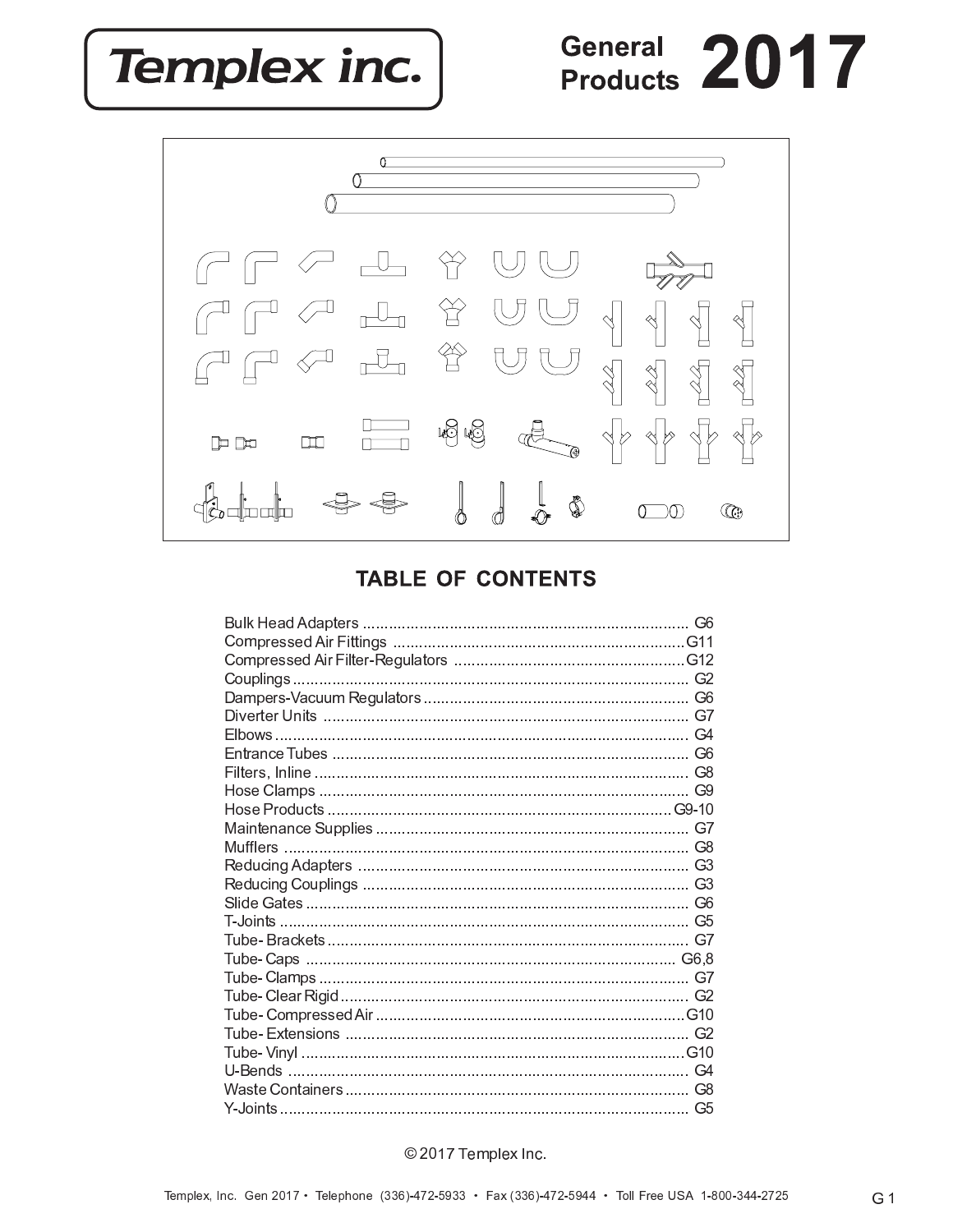**Templex inc.** 

# General 2017



### **TABLE OF CONTENTS**

| G6 |
|----|
|    |
|    |
|    |
|    |
| G9 |
|    |
|    |
| G8 |
|    |
| G3 |
|    |
|    |
|    |
|    |
|    |
|    |
|    |
|    |
|    |
| G4 |
| G8 |
|    |

#### © 2017 Templex Inc.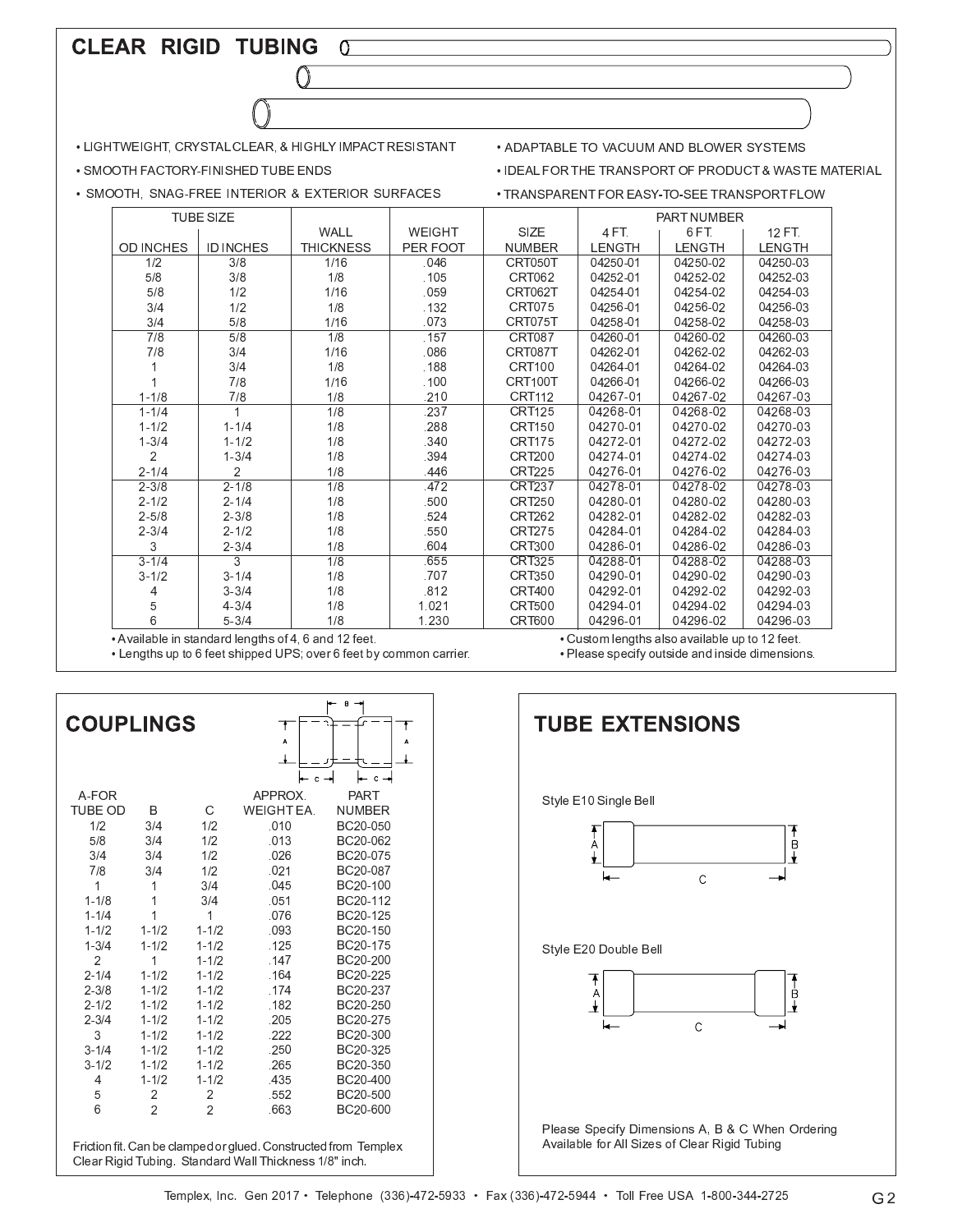#### CLEAR RIGID TUBING  $\sigma$

• LIGHTWEIGHT, CRYSTAL CLEAR, & HIGHLY IMPACT RESISTANT

- . SMOOTH FACTORY-FINISHED TUBE ENDS
- · SMOOTH, SNAG-FREE INTERIOR & EXTERIOR SURFACES
- . ADAPTABLE TO VACUUM AND BLOWER SYSTEMS
- IDEAL FOR THE TRANSPORT OF PRODUCT & WASTE MATERIAL
- · TRANSPARENT FOR EASY-TO-SEE TRANSPORT FLOW

|                  | <b>TUBE SIZE</b> |                  |               |               |               | PART NUMBER   |               |
|------------------|------------------|------------------|---------------|---------------|---------------|---------------|---------------|
|                  |                  | WALL             | <b>WEIGHT</b> | SIZE          | 4 FT.         | 6FT.          | $12 F$ T.     |
| <b>OD INCHES</b> | <b>ID INCHES</b> | <b>THICKNESS</b> | PER FOOT      | <b>NUMBER</b> | <b>LENGTH</b> | <b>LENGTH</b> | <b>LENGTH</b> |
| 1/2              | 3/8              | 1/16             | .046          | CRT050T       | 04250-01      | 04250-02      | 04250-03      |
| 5/8              | 3/8              | 1/8              | .105          | <b>CRT062</b> | 04252-01      | 04252-02      | 04252-03      |
| 5/8              | 1/2              | 1/16             | .059          | CRT062T       | 04254-01      | 04254-02      | 04254-03      |
| 3/4              | 1/2              | 1/8              | .132          | CRT075        | 04256-01      | 04256-02      | 04256-03      |
| 3/4              | 5/8              | 1/16             | .073          | CRT075T       | 04258-01      | 04258-02      | 04258-03      |
| 7/8              | 5/8              | 1/8              | .157          | <b>CRT087</b> | 04260-01      | 04260-02      | 04260-03      |
| 7/8              | 3/4              | 1/16             | .086          | CRT087T       | 04262-01      | 04262-02      | 04262-03      |
|                  | 3/4              | 1/8              | .188          | CRT100        | 04264-01      | 04264-02      | 04264-03      |
|                  | 7/8              | 1/16             | .100          | CRT100T       | 04266-01      | 04266-02      | 04266-03      |
| $1 - 1/8$        | 7/8              | 1/8              | 210           | <b>CRT112</b> | 04267-01      | 04267-02      | 04267-03      |
| $1 - 1/4$        | 1                | 1/8              | .237          | <b>CRT125</b> | 04268-01      | 04268-02      | 04268-03      |
| $1 - 1/2$        | $1 - 1/4$        | 1/8              | 288           | <b>CRT150</b> | 04270-01      | 04270-02      | 04270-03      |
| $1 - 3/4$        | $1 - 1/2$        | 1/8              | .340          | <b>CRT175</b> | 04272-01      | 04272-02      | 04272-03      |
| 2                | $1 - 3/4$        | 1/8              | .394          | <b>CRT200</b> | 04274-01      | 04274-02      | 04274-03      |
| $2 - 1/4$        | 2                | 1/8              | 446           | <b>CRT225</b> | 04276-01      | 04276-02      | 04276-03      |
| $2 - 3/8$        | $2 - 1/8$        | $\overline{1/8}$ | .472          | <b>CRT237</b> | 04278-01      | 04278-02      | 04278-03      |
| $2 - 1/2$        | $2 - 1/4$        | 1/8              | .500          | <b>CRT250</b> | 04280-01      | 04280-02      | 04280-03      |
| $2 - 5/8$        | $2 - 3/8$        | 1/8              | .524          | <b>CRT262</b> | 04282-01      | 04282-02      | 04282-03      |
| $2 - 3/4$        | $2 - 1/2$        | 1/8              | .550          | <b>CRT275</b> | 04284-01      | 04284-02      | 04284-03      |
| 3                | $2 - 3/4$        | 1/8              | .604          | <b>CRT300</b> | 04286-01      | 04286-02      | 04286-03      |
| $3 - 1/4$        | 3                | $\overline{1/8}$ | .655          | <b>CRT325</b> | 04288-01      | 04288-02      | 04288-03      |
| $3 - 1/2$        | $3 - 1/4$        | 1/8              | .707          | <b>CRT350</b> | 04290-01      | 04290-02      | 04290-03      |
|                  | $3 - 3/4$        | 1/8              | .812          | <b>CRT400</b> | 04292-01      | 04292-02      | 04292-03      |
| 5                | $4 - 3/4$        | 1/8              | 1.021         | <b>CRT500</b> | 04294-01      | 04294-02      | 04294-03      |
| 6                | $5 - 3/4$        | 1/8              | 1.230         | <b>CRT600</b> | 04296-01      | 04296-02      | 04296-03      |

• Available in standard lengths of 4, 6 and 12 feet.

. Lengths up to 6 feet shipped UPS; over 6 feet by common carrier.

• Custom lengths also available up to 12 feet.

. Please specify outside and inside dimensions.



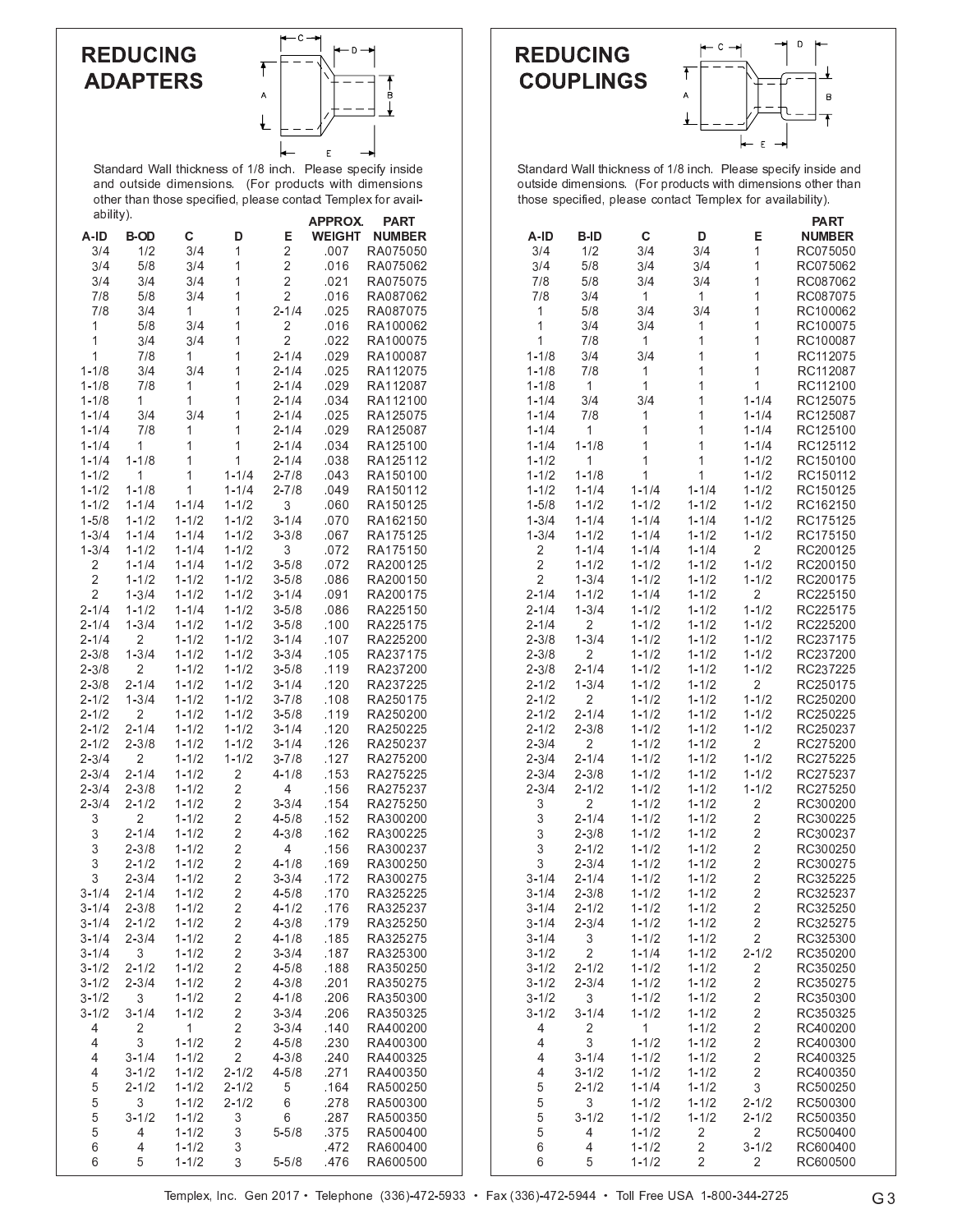### **REDUCING ADAPTERS**



Standard Wall thickness of 1/8 inch. Please specify inside and outside dimensions. (For products with dimension other than those specified, please contact Templex for avail ability)  $\overline{\phantom{a}}$ 

|                         |                |                |                         |           | APPROX.       | PART          |
|-------------------------|----------------|----------------|-------------------------|-----------|---------------|---------------|
| A-ID                    | <b>B-OD</b>    | С              | D                       | Е         | <b>WEIGHT</b> | <b>NUMBER</b> |
| 3/4                     | 1/2            | 3/4            | 1                       | 2         | .007          | RA075050      |
| 3/4                     | 5/8            | 3/4            | $\mathbf{1}$            | 2         | .016          | RA075062      |
| 3/4                     | 3/4            | 3/4            | 1                       | 2         | .021          | RA075075      |
| 7/8                     | 5/8            | 3/4            | 1                       | 2         | .016          | RA087062      |
| 7/8                     | 3/4            | 1              | 1                       | $2 - 1/4$ | .025          | RA087075      |
| 1                       |                | 3/4            | 1                       | 2         |               |               |
|                         | 5/8            |                |                         |           | .016          | RA100062      |
| 1                       | 3/4            | 3/4            | $\mathbf{1}$            | 2         | .022          | RA100075      |
| 1                       | 7/8            | 1              | 1                       | $2 - 1/4$ | .029          | RA100087      |
| $1 - 1/8$               | 3/4            | 3/4            | 1                       | $2 - 1/4$ | .025          | RA112075      |
| $1 - 1/8$               | 7/8            | 1              | 1                       | $2 - 1/4$ | .029          | RA112087      |
| $1 - 1/8$               | 1              | 1              | 1                       | $2 - 1/4$ | .034          | RA112100      |
| $1 - 1/4$               | 3/4            | 3/4            | $\mathbf{1}$            | $2 - 1/4$ | .025          | RA125075      |
| $1 - 1/4$               | 7/8            | 1              | 1                       | $2 - 1/4$ | .029          | RA125087      |
| $1 - 1/4$               | 1              | 1              | 1                       | $2 - 1/4$ | .034          | RA125100      |
| $1 - 1/4$               | $1 - 1/8$      | 1              | 1                       | $2 - 1/4$ | .038          | RA125112      |
|                         |                | $\overline{1}$ |                         |           |               |               |
| $1 - 1/2$               | 1              |                | $1 - 1/4$               | $2 - 7/8$ | .043          | RA150100      |
| $1 - 1/2$               | $1 - 1/8$      | $\mathbf{1}$   | $1 - 1/4$               | $2 - 7/8$ | .049          | RA150112      |
| $1 - 1/2$               | $1 - 1/4$      | $1 - 1/4$      | $1 - 1/2$               | 3         | .060          | RA150125      |
| $1 - 5/8$               | $1 - 1/2$      | $1 - 1/2$      | $1 - 1/2$               | $3 - 1/4$ | .070          | RA162150      |
| $1 - 3/4$               | $1 - 1/4$      | $1 - 1/4$      | $1 - 1/2$               | $3 - 3/8$ | .067          | RA175125      |
| $1 - 3/4$               | $1 - 1/2$      | $1 - 1/4$      | $1 - 1/2$               | 3         | .072          | RA175150      |
| 2                       | $1 - 1/4$      | $1 - 1/4$      | $1 - 1/2$               | $3 - 5/8$ | .072          | RA200125      |
| $\overline{c}$          | $1 - 1/2$      | $1 - 1/2$      | $1 - 1/2$               | $3 - 5/8$ | .086          | RA200150      |
| $\overline{\mathbf{c}}$ | $1 - 3/4$      | $1 - 1/2$      | $1 - 1/2$               | $3 - 1/4$ | .091          | RA200175      |
|                         |                |                |                         |           |               |               |
| $2 - 1/4$               | $1 - 1/2$      | $1 - 1/4$      | $1 - 1/2$               | $3 - 5/8$ | .086          | RA225150      |
| $2 - 1/4$               | $1 - 3/4$      | $1 - 1/2$      | $1 - 1/2$               | $3 - 5/8$ | .100          | RA225175      |
| $2 - 1/4$               | 2              | $1 - 1/2$      | $1 - 1/2$               | $3 - 1/4$ | .107          | RA225200      |
| $2 - 3/8$               | $1 - 3/4$      | $1 - 1/2$      | $1 - 1/2$               | $3 - 3/4$ | .105          | RA237175      |
| $2 - 3/8$               | $\overline{c}$ | $1 - 1/2$      | $1 - 1/2$               | $3 - 5/8$ | .119          | RA237200      |
| $2 - 3/8$               | $2 - 1/4$      | $1 - 1/2$      | $1 - 1/2$               | $3 - 1/4$ | .120          | RA237225      |
| $2 - 1/2$               | $1 - 3/4$      | $1 - 1/2$      | $1 - 1/2$               | $3 - 7/8$ | .108          | RA250175      |
| $2 - 1/2$               | 2              | $1 - 1/2$      | $1 - 1/2$               | $3 - 5/8$ | .119          | RA250200      |
| $2 - 1/2$               | $2 - 1/4$      | $1 - 1/2$      | $1 - 1/2$               | $3 - 1/4$ | .120          | RA250225      |
| $2 - 1/2$               | $2 - 3/8$      | $1 - 1/2$      | $1 - 1/2$               | $3 - 1/4$ | .126          | RA250237      |
| $2 - 3/4$               | $\overline{2}$ | $1 - 1/2$      | $1 - 1/2$               | $3 - 7/8$ | .127          | RA275200      |
|                         |                |                |                         |           |               |               |
| $2 - 3/4$               | $2 - 1/4$      | $1 - 1/2$      | 2                       | $4 - 1/8$ | .153          | RA275225      |
| $2 - 3/4$               | $2 - 3/8$      | $1 - 1/2$      | 2                       | 4         | .156          | RA275237      |
| $2 - 3/4$               | $2 - 1/2$      | $1 - 1/2$      | $\overline{\mathbf{c}}$ | $3 - 3/4$ | .154          | RA275250      |
| 3                       | $\overline{c}$ | $1 - 1/2$      | $\overline{\mathbf{c}}$ | $4 - 5/8$ | .152          | RA300200      |
| 3                       | $2 - 1/4$      | $1 - 1/2$      | $\overline{c}$          | $4 - 3/8$ | .162          | RA300225      |
| 3                       | $2 - 3/8$      | $1 - 1/2$      | $\overline{\mathbf{c}}$ | 4         | .156          | RA300237      |
| 3                       | $2 - 1/2$      | $1 - 1/2$      | 2                       | $4 - 1/8$ | .169          | RA300250      |
| 3                       | $2 - 3/4$      | $1 - 1/2$      | $\overline{\mathbf{c}}$ | $3 - 3/4$ | .172          | RA300275      |
| $3 - 1/4$               | $2 - 1/4$      | $1 - 1/2$      | 2                       | $4 - 5/8$ | .170          | RA325225      |
| $3 - 1/4$               | $2 - 3/8$      | $1 - 1/2$      | $\overline{2}$          | $4 - 1/2$ | .176          | RA325237      |
| $3 - 1/4$               | $2 - 1/2$      | $1 - 1/2$      | 2                       | $4 - 3/8$ | .179          | RA325250      |
| $3 - 1/4$               | $2 - 3/4$      |                | 2                       | $4 - 1/8$ |               | RA325275      |
|                         |                | $1 - 1/2$      |                         |           | .185          |               |
| $3 - 1/4$               | 3              | $1 - 1/2$      | 2                       | $3 - 3/4$ | .187          | RA325300      |
| $3 - 1/2$               | $2 - 1/2$      | $1 - 1/2$      | 2                       | $4 - 5/8$ | .188          | RA350250      |
| $3 - 1/2$               | $2 - 3/4$      | $1 - 1/2$      | $\overline{c}$          | $4 - 3/8$ | .201          | RA350275      |
| $3 - 1/2$               | 3              | $1 - 1/2$      | $\overline{\mathbf{c}}$ | $4 - 1/8$ | .206          | RA350300      |
| $3 - 1/2$               | $3 - 1/4$      | $1 - 1/2$      | 2                       | $3 - 3/4$ | .206          | RA350325      |
| 4                       | $\overline{c}$ | 1              | $\overline{\mathbf{c}}$ | $3 - 3/4$ | .140          | RA400200      |
| 4                       | 3              | $1 - 1/2$      | 2                       | $4 - 5/8$ | .230          | RA400300      |
| 4                       | $3 - 1/4$      | $1 - 1/2$      | $\overline{2}$          | $4 - 3/8$ | .240          | RA400325      |
| 4                       | $3 - 1/2$      | $1 - 1/2$      | $2 - 1/2$               | $4 - 5/8$ | .271          | RA400350      |
| 5                       | $2 - 1/2$      | $1 - 1/2$      | $2 - 1/2$               | 5         | .164          | RA500250      |
|                         | 3              |                | $2 - 1/2$               | 6         |               | RA500300      |
| 5                       |                | $1 - 1/2$      |                         |           | .278          |               |
| 5                       | $3 - 1/2$      | $1 - 1/2$      | 3                       | 6         | .287          | RA500350      |
| 5                       | 4              | $1 - 1/2$      | 3                       | $5 - 5/8$ | .375          | RA500400      |
| 6                       | 4              | $1 - 1/2$      | 3                       |           | .472          | RA600400      |
| 6                       | 5              | $1 - 1/2$      | 3                       | $5 - 5/8$ | .476          | RA600500      |





Standard Wall thickness of 1/8 inch. Please specify inside an outside dimensions. (For products with dimensions other than those specified, please contact Templex for availability)

|                         |                |           |                         |                         | PART          |
|-------------------------|----------------|-----------|-------------------------|-------------------------|---------------|
| A-ID                    | B-ID           | С         | D                       | Е                       | <b>NUMBER</b> |
| 3/4                     | 1/2            | 3/4       | 3/4                     | 1                       | RC075050      |
| 3/4                     | 5/8            | 3/4       | 3/4                     | 1                       | RC075062      |
| 7/8                     | 5/8            | 3/4       | 3/4                     | 1                       | RC087062      |
| 7/8                     | 3/4            | 1         | 1                       | 1                       | RC087075      |
|                         |                |           |                         | 1                       |               |
| 1                       | 5/8            | 3/4       | 3/4                     |                         | RC100062      |
| 1                       | 3/4            | 3/4       | 1                       | 1                       | RC100075      |
| 1                       | 7/8            | 1         | 1                       | 1                       | RC100087      |
| $1 - 1/8$               | 3/4            | 3/4       | 1                       | 1                       | RC112075      |
| $1 - 1/8$               | 7/8            | 1         | 1                       | 1                       | RC112087      |
| $1 - 1/8$               | 1              | 1         | 1                       | 1                       | RC112100      |
| $1 - 1/4$               | 3/4            | 3/4       | 1                       | $1 - 1/4$               | RC125075      |
| $1 - 1/4$               | 7/8            | 1         | 1                       | $1 - 1/4$               | RC125087      |
| $1 - 1/4$               | 1              | 1         | 1                       | $1 - 1/4$               | RC125100      |
| $1 - 1/4$               | $1 - 1/8$      | 1         | 1                       | $1 - 1/4$               | RC125112      |
| $1 - 1/2$               | 1              | 1         | 1                       | $1 - 1/2$               | RC150100      |
| 1-1/2                   | $1 - 1/8$      | 1         | 1                       | $1 - 1/2$               | RC150112      |
| $1 - 1/2$               | $1 - 1/4$      | $1 - 1/4$ | $1 - 1/4$               | $1 - 1/2$               | RC150125      |
| $1 - 5/8$               | $1 - 1/2$      | $1 - 1/2$ | $1 - 1/2$               | $1 - 1/2$               | RC162150      |
| $1 - 3/4$               | $1 - 1/4$      | $1 - 1/4$ | $1 - 1/4$               | $1 - 1/2$               | RC175125      |
| $1 - 3/4$               | $1 - 1/2$      | $1 - 1/4$ | $1 - 1/2$               | $1 - 1/2$               | RC175150      |
| $\overline{c}$          | $1 - 1/4$      | $1 - 1/4$ | $1 - 1/4$               | $\overline{2}$          | RC200125      |
| $\overline{\mathbf{c}}$ |                | 1-1/2     | $1 - 1/2$               | $1 - 1/2$               |               |
|                         | 1-1/2          |           |                         |                         | RC200150      |
| 2                       | $1 - 3/4$      | $1 - 1/2$ | $1 - 1/2$               | $1 - 1/2$               | RC200175      |
| $2 - 1/4$               | 1-1/2          | $1 - 1/4$ | $1 - 1/2$               | $\overline{2}$          | RC225150      |
| $2 - 1/4$               | $1 - 3/4$      | $1 - 1/2$ | $1 - 1/2$               | $1 - 1/2$               | RC225175      |
| $2 - 1/4$               | 2              | $1 - 1/2$ | $1 - 1/2$               | $1 - 1/2$               | RC225200      |
| $2 - 3/8$               | $1 - 3/4$      | $1 - 1/2$ | $1 - 1/2$               | $1 - 1/2$               | RC237175      |
| $2 - 3/8$               | 2              | $1 - 1/2$ | $1 - 1/2$               | $1 - 1/2$               | RC237200      |
| $2 - 3/8$               | $2 - 1/4$      | $1 - 1/2$ | $1 - 1/2$               | $1 - 1/2$               | RC237225      |
| $2 - 1/2$               | $1 - 3/4$      | $1 - 1/2$ | $1 - 1/2$               | $\overline{2}$          | RC250175      |
| $2 - 1/2$               | 2              | $1 - 1/2$ | $1 - 1/2$               | $1 - 1/2$               | RC250200      |
| $2 - 1/2$               | $2 - 1/4$      | $1 - 1/2$ | $1 - 1/2$               | $1 - 1/2$               | RC250225      |
| $2 - 1/2$               | $2 - 3/8$      | $1 - 1/2$ | $1 - 1/2$               | $1 - 1/2$               | RC250237      |
| $2 - 3/4$               | 2              | $1 - 1/2$ | $1 - 1/2$               | $\overline{2}$          | RC275200      |
| $2 - 3/4$               | $2 - 1/4$      | $1 - 1/2$ | $1 - 1/2$               | $1 - 1/2$               | RC275225      |
| $2 - 3/4$               | $2 - 3/8$      | $1 - 1/2$ | $1 - 1/2$               | $1 - 1/2$               | RC275237      |
| $2 - 3/4$               | $2 - 1/2$      | $1 - 1/2$ | $1 - 1/2$               | $1 - 1/2$               | RC275250      |
| 3                       | 2              | $1 - 1/2$ | $1 - 1/2$               | 2                       | RC300200      |
| 3                       | $2 - 1/4$      | $1 - 1/2$ | $1 - 1/2$               | $\overline{2}$          | RC300225      |
| 3                       | $2 - 3/8$      | $1 - 1/2$ | $1 - 1/2$               | $\overline{\mathbf{c}}$ | RC300237      |
| 3                       | $2 - 1/2$      | $1 - 1/2$ | $1 - 1/2$               | $\overline{c}$          | RC300250      |
| 3                       | $2 - 3/4$      | $1 - 1/2$ | $1 - 1/2$               | $\overline{\mathbf{c}}$ | RC300275      |
| $3 - 1/4$               | $2 - 1/4$      | $1 - 1/2$ | $1 - 1/2$               | $\overline{2}$          | RC325225      |
| $3 - 1/4$               | $2 - 3/8$      | $1 - 1/2$ | $1 - 1/2$               | $\overline{2}$          | RC325237      |
| $3 - 1/4$               | $2 - 1/2$      | $1 - 1/2$ | $1 - 1/2$               | $\overline{c}$          | RC325250      |
| $3 - 1/4$               | $2 - 3/4$      | $1 - 1/2$ | $1 - 1/2$               | 2                       | RC325275      |
| $3 - 1/4$               | 3              | $1 - 1/2$ | $1 - 1/2$               | $\overline{\mathbf{c}}$ | RC325300      |
|                         | $\overline{2}$ |           |                         | $2 - 1/2$               | RC350200      |
| $3 - 1/2$               |                | $1 - 1/4$ | $1 - 1/2$               |                         |               |
| $3 - 1/2$               | $2 - 1/2$      | $1 - 1/2$ | $1 - 1/2$               | $\overline{\mathbf{c}}$ | RC350250      |
| $3 - 1/2$               | $2 - 3/4$      | $1 - 1/2$ | $1 - 1/2$               | $\overline{\mathbf{c}}$ | RC350275      |
| $3 - 1/2$               | 3              | $1 - 1/2$ | $1 - 1/2$               | $\overline{c}$          | RC350300      |
| $3 - 1/2$               | $3 - 1/4$      | $1 - 1/2$ | $1 - 1/2$               | $\overline{\mathbf{c}}$ | RC350325      |
| 4                       | 2              | 1         | $1 - 1/2$               | $\overline{\mathbf{c}}$ | RC400200      |
| 4                       | 3              | $1 - 1/2$ | $1 - 1/2$               | $\overline{\mathbf{c}}$ | RC400300      |
| 4                       | $3 - 1/4$      | 1-1/2     | $1 - 1/2$               | $\overline{\mathbf{c}}$ | RC400325      |
| 4                       | 3-1/2          | $1 - 1/2$ | $1 - 1/2$               | $\overline{c}$          | RC400350      |
| 5                       | $2 - 1/2$      | 1-1/4     | $1 - 1/2$               | 3                       | RC500250      |
| 5                       | 3              | $1 - 1/2$ | $1 - 1/2$               | $2 - 1/2$               | RC500300      |
| 5                       | $3 - 1/2$      | $1 - 1/2$ | $1 - 1/2$               | $2 - 1/2$               | RC500350      |
| 5                       | 4              | $1 - 1/2$ | $\overline{\mathbf{c}}$ | $\overline{\mathbf{c}}$ | RC500400      |
| 6                       | 4              | $1 - 1/2$ | 2                       | $3 - 1/2$               | RC600400      |
| 6                       | 5              | $1 - 1/2$ | 2                       | 2                       | RC600500      |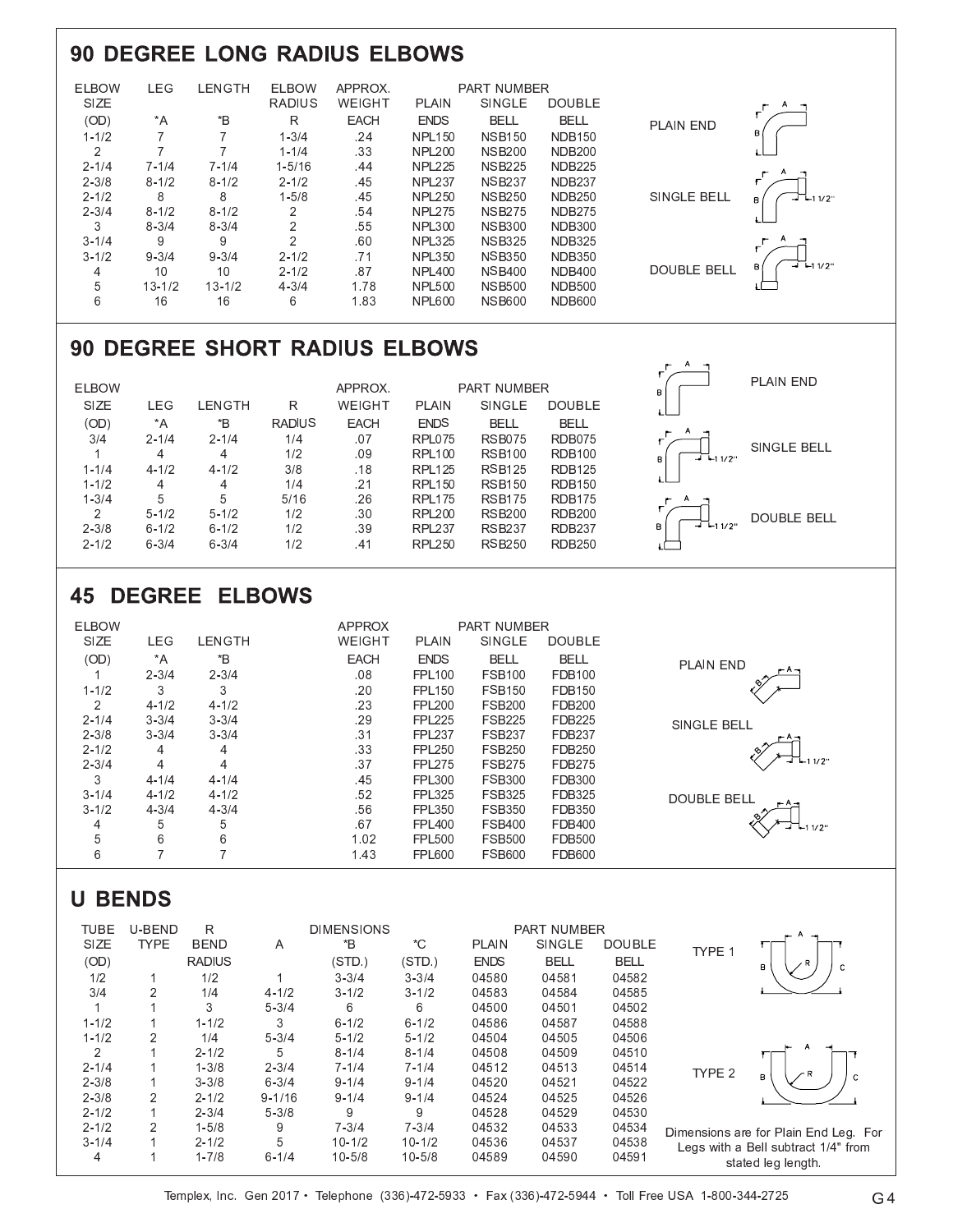## **90 DEGREE LONG RADIUS ELBOWS**

| SIZE<br><b>RADIUS</b><br>WEIGHT<br><b>SINGLE</b><br><b>DOUBLE</b><br>PLAIN<br>$\mathbf{B}^*$<br>(OD)<br>$^*A$<br><b>ENDS</b><br>R<br><b>EACH</b><br><b>BELL</b><br><b>BELL</b><br><b>PLAIN END</b><br>в<br>.24<br>$1 - 1/2$<br>$1 - 3/4$<br><b>NSB150</b><br><b>NDB150</b><br><b>NPL150</b><br>.33<br>2<br>$1 - 1/4$<br><b>NDB200</b><br><b>NPL200</b><br><b>NSB200</b><br>$2 - 1/4$<br>$1 - 5/16$<br>.44<br><b>NSB225</b><br><b>NDB225</b><br>$7 - 1/4$<br>$7 - 1/4$<br><b>NPL225</b><br>۳<br>$2 - 3/8$<br>$8 - 1/2$<br>$8 - 1/2$<br>$2 - 1/2$<br>.45<br><b>NPL237</b><br><b>NSB237</b><br><b>NDB237</b><br>SINGLE BELL<br>8<br>8<br>$1 - 5/8$<br>.45<br><b>NSB250</b><br><b>NDB250</b><br>$2 - 1/2$<br><b>NPL250</b><br>$-111/2$<br>R. |  |
|------------------------------------------------------------------------------------------------------------------------------------------------------------------------------------------------------------------------------------------------------------------------------------------------------------------------------------------------------------------------------------------------------------------------------------------------------------------------------------------------------------------------------------------------------------------------------------------------------------------------------------------------------------------------------------------------------------------------------------------|--|
|                                                                                                                                                                                                                                                                                                                                                                                                                                                                                                                                                                                                                                                                                                                                          |  |
|                                                                                                                                                                                                                                                                                                                                                                                                                                                                                                                                                                                                                                                                                                                                          |  |
|                                                                                                                                                                                                                                                                                                                                                                                                                                                                                                                                                                                                                                                                                                                                          |  |
|                                                                                                                                                                                                                                                                                                                                                                                                                                                                                                                                                                                                                                                                                                                                          |  |
|                                                                                                                                                                                                                                                                                                                                                                                                                                                                                                                                                                                                                                                                                                                                          |  |
|                                                                                                                                                                                                                                                                                                                                                                                                                                                                                                                                                                                                                                                                                                                                          |  |
|                                                                                                                                                                                                                                                                                                                                                                                                                                                                                                                                                                                                                                                                                                                                          |  |
| $2 - 3/4$<br>$8 - 1/2$<br>.54<br><b>NSB275</b><br>$8 - 1/2$<br>2<br><b>NPL275</b><br><b>NDB275</b>                                                                                                                                                                                                                                                                                                                                                                                                                                                                                                                                                                                                                                       |  |
| 3<br>$\overline{2}$<br>.55<br><b>NDB300</b><br>$8 - 3/4$<br>$8 - 3/4$<br><b>NPL300</b><br><b>NSB300</b>                                                                                                                                                                                                                                                                                                                                                                                                                                                                                                                                                                                                                                  |  |
| $\overline{2}$<br>9<br>$3 - 1/4$<br><b>NSB325</b><br>9<br>.60<br><b>NDB325</b><br><b>NPL325</b>                                                                                                                                                                                                                                                                                                                                                                                                                                                                                                                                                                                                                                          |  |
| .71<br>$3 - 1/2$<br>$9 - 3/4$<br>$2 - 1/2$<br><b>NSB350</b><br><b>NDB350</b><br>$9 - 3/4$<br><b>NPL350</b>                                                                                                                                                                                                                                                                                                                                                                                                                                                                                                                                                                                                                               |  |
| $-1$ $-11/2$ "<br>В١<br>DOUBLE BELL<br>10<br>.87<br><b>NDB400</b><br>10<br>$2 - 1/2$<br><b>NSB400</b><br><b>NPL400</b><br>4                                                                                                                                                                                                                                                                                                                                                                                                                                                                                                                                                                                                              |  |
| 5<br>$13 - 1/2$<br>1.78<br>$13 - 1/2$<br>$4 - 3/4$<br><b>NSB500</b><br><b>NDB500</b><br><b>NPL500</b>                                                                                                                                                                                                                                                                                                                                                                                                                                                                                                                                                                                                                                    |  |
| 6<br>1.83<br>16<br>16<br>6<br><b>NSB600</b><br><b>NDB600</b><br><b>NPL600</b>                                                                                                                                                                                                                                                                                                                                                                                                                                                                                                                                                                                                                                                            |  |

## 90 DEGREE SHORT RADIUS ELBOWS

| <b>ELBOW</b> |           |           |               | APPROX.       |               | <b>PART NUMBER</b> |               | A<br>÷<br>в       | PLAIN END          |
|--------------|-----------|-----------|---------------|---------------|---------------|--------------------|---------------|-------------------|--------------------|
| <b>SIZE</b>  | LEG       | LENGTH    | R             | <b>WEIGHT</b> | <b>PLAIN</b>  | SINGLE             | <b>DOUBLE</b> |                   |                    |
| (OD)         | $^*A$     | *B        | <b>RADIUS</b> | <b>EACH</b>   | <b>ENDS</b>   | <b>BELL</b>        | <b>BELL</b>   |                   |                    |
| 3/4          | $2 - 1/4$ | $2 - 1/4$ | 1/4           | .07           | RPL075        | <b>RSB075</b>      | RDB075        | А<br>۰            |                    |
|              | 4         | 4         | 1/2           | .09           | <b>RPL100</b> | <b>RSB100</b>      | <b>RDB100</b> | $-1$ -1 1/2"<br>в | SINGLE BELL        |
| $1 - 1/4$    | $4 - 1/2$ | $4 - 1/2$ | 3/8           | .18           | <b>RPL125</b> | <b>RSB125</b>      | <b>RDB125</b> |                   |                    |
| $1 - 1/2$    | 4         | 4         | 1/4           | .21           | <b>RPL150</b> | <b>RSB150</b>      | <b>RDB150</b> |                   |                    |
| $1 - 3/4$    | 5         | 5         | 5/16          | .26           | <b>RPL175</b> | <b>RSB175</b>      | <b>RDB175</b> | $\leftarrow$      |                    |
| 2            | $5 - 1/2$ | $5 - 1/2$ | 1/2           | .30           | <b>RPL200</b> | <b>RSB200</b>      | <b>RDB200</b> |                   | <b>DOUBLE BELL</b> |
| $2 - 3/8$    | $6 - 1/2$ | $6 - 1/2$ | 1/2           | .39           | <b>RPL237</b> | <b>RSB237</b>      | <b>RDB237</b> | $-1$ -11/2"<br>в  |                    |
| $2 - 1/2$    | $6 - 3/4$ | $6 - 3/4$ | 1/2           | .41           | <b>RPL250</b> | <b>RSB250</b>      | <b>RDB250</b> |                   |                    |

## **45 DEGREE ELBOWS**

| <b>ELBOW</b> |                          |           | <b>APPROX</b> |               | <b>PART NUMBER</b> |               |                    |
|--------------|--------------------------|-----------|---------------|---------------|--------------------|---------------|--------------------|
| SIZE         | <b>LEG</b>               | LENGTH    | WEIGHT        | <b>PLAIN</b>  | <b>SINGLE</b>      | <b>DOUBLE</b> |                    |
| (OD)         | *A                       | *B        | <b>EACH</b>   | <b>ENDS</b>   | <b>BELL</b>        | <b>BELL</b>   | <b>PLAIN END</b>   |
|              | $2 - 3/4$                | $2 - 3/4$ | .08           | <b>FPL100</b> | <b>FSB100</b>      | <b>FDB100</b> |                    |
| $1 - 1/2$    | 3                        | 3         | .20           | <b>FPL150</b> | <b>FSB150</b>      | <b>FDB150</b> |                    |
| 2            | $4 - 1/2$                | $4 - 1/2$ | .23           | <b>FPL200</b> | <b>FSB200</b>      | <b>FDB200</b> |                    |
| $2 - 1/4$    | $3 - 3/4$                | $3 - 3/4$ | .29           | <b>FPL225</b> | <b>FSB225</b>      | <b>FDB225</b> | <b>SINGLE BELL</b> |
| $2 - 3/8$    | $3 - 3/4$                | $3 - 3/4$ | .31           | <b>FPL237</b> | <b>FSB237</b>      | <b>FDB237</b> |                    |
| $2 - 1/2$    | 4                        | 4         | .33           | <b>FPL250</b> | <b>FSB250</b>      | <b>FDB250</b> |                    |
| $2 - 3/4$    | 4                        | 4         | .37           | <b>FPL275</b> | <b>FSB275</b>      | <b>FDB275</b> | $-1$ – 1/2"        |
| 3            | $4 - 1/4$                | $4 - 1/4$ | .45           | <b>FPL300</b> | <b>FSB300</b>      | <b>FDB300</b> |                    |
| $3 - 1/4$    | $4 - 1/2$                | $4 - 1/2$ | .52           | <b>FPL325</b> | <b>FSB325</b>      | FDB325        | <b>DOUBLE BELL</b> |
| $3 - 1/2$    | $4 - 3/4$                | $4 - 3/4$ | .56           | <b>FPL350</b> | <b>FSB350</b>      | <b>FDB350</b> |                    |
| 4            | 5                        | 5         | .67           | <b>FPL400</b> | <b>FSB400</b>      | FDB400        | $-1$ $-11/2$       |
| 5            | 6                        | 6         | 1.02          | <b>FPL500</b> | <b>FSB500</b>      | <b>FDB500</b> |                    |
| 6            | $\overline{\phantom{a}}$ |           | 1.43          | <b>FPL600</b> | <b>FSB600</b>      | <b>FDB600</b> |                    |

## **U BENDS**

| <b>TUBE</b> | U-BEND         | R             |            | <b>DIMENSIONS</b> |            |              | <b>PART NUMBER</b> |               |                   |                                       |
|-------------|----------------|---------------|------------|-------------------|------------|--------------|--------------------|---------------|-------------------|---------------------------------------|
| SIZE        | <b>TYPE</b>    | <b>BEND</b>   | A          | *B                | *C         | <b>PLAIN</b> | <b>SINGLE</b>      | <b>DOUBLE</b> | TYPE 1            |                                       |
| (OD)        |                | <b>RADIUS</b> |            | (STD.)            | (STD.)     | <b>ENDS</b>  | <b>BELL</b>        | <b>BELL</b>   |                   | B                                     |
| 1/2         |                | 1/2           |            | $3 - 3/4$         | $3 - 3/4$  | 04580        | 04581              | 04582         |                   |                                       |
| 3/4         | 2              | 1/4           | $4 - 1/2$  | $3 - 1/2$         | $3 - 1/2$  | 04583        | 04584              | 04585         |                   |                                       |
|             |                | 3             | $5 - 3/4$  | 6                 | 6          | 04500        | 04501              | 04502         |                   |                                       |
| $1 - 1/2$   |                | $1 - 1/2$     | 3          | $6 - 1/2$         | $6 - 1/2$  | 04586        | 04587              | 04588         |                   |                                       |
| $1 - 1/2$   | 2              | 1/4           | $5 - 3/4$  | $5 - 1/2$         | $5 - 1/2$  | 04504        | 04505              | 04506         |                   |                                       |
| 2           |                | $2 - 1/2$     | 5          | $8 - 1/4$         | $8 - 1/4$  | 04508        | 04509              | 04510         |                   |                                       |
| $2 - 1/4$   |                | $1 - 3/8$     | $2 - 3/4$  | $7 - 1/4$         | $7 - 1/4$  | 04512        | 04513              | 04514         | TYPE <sub>2</sub> |                                       |
| $2 - 3/8$   |                | $3 - 3/8$     | $6 - 3/4$  | $9 - 1/4$         | $9 - 1/4$  | 04520        | 04521              | 04522         |                   | в<br>$\mathbf C$                      |
| $2 - 3/8$   | $\overline{2}$ | $2 - 1/2$     | $9 - 1/16$ | $9 - 1/4$         | $9 - 1/4$  | 04524        | 04525              | 04526         |                   |                                       |
| $2 - 1/2$   |                | $2 - 3/4$     | $5 - 3/8$  | 9                 | 9          | 04528        | 04529              | 04530         |                   |                                       |
| $2 - 1/2$   | $\overline{2}$ | $1 - 5/8$     | 9          | $7 - 3/4$         | $7 - 3/4$  | 04532        | 04533              | 04534         |                   | Dimensions are for Plain End Leg. For |
| $3 - 1/4$   |                | $2 - 1/2$     | 5          | $10 - 1/2$        | $10 - 1/2$ | 04536        | 04537              | 04538         |                   | Legs with a Bell subtract 1/4" from   |
| 4           |                | $1 - 7/8$     | $6 - 1/4$  | $10 - 5/8$        | $10 - 5/8$ | 04589        | 04590              | 04591         |                   | stated leg length.                    |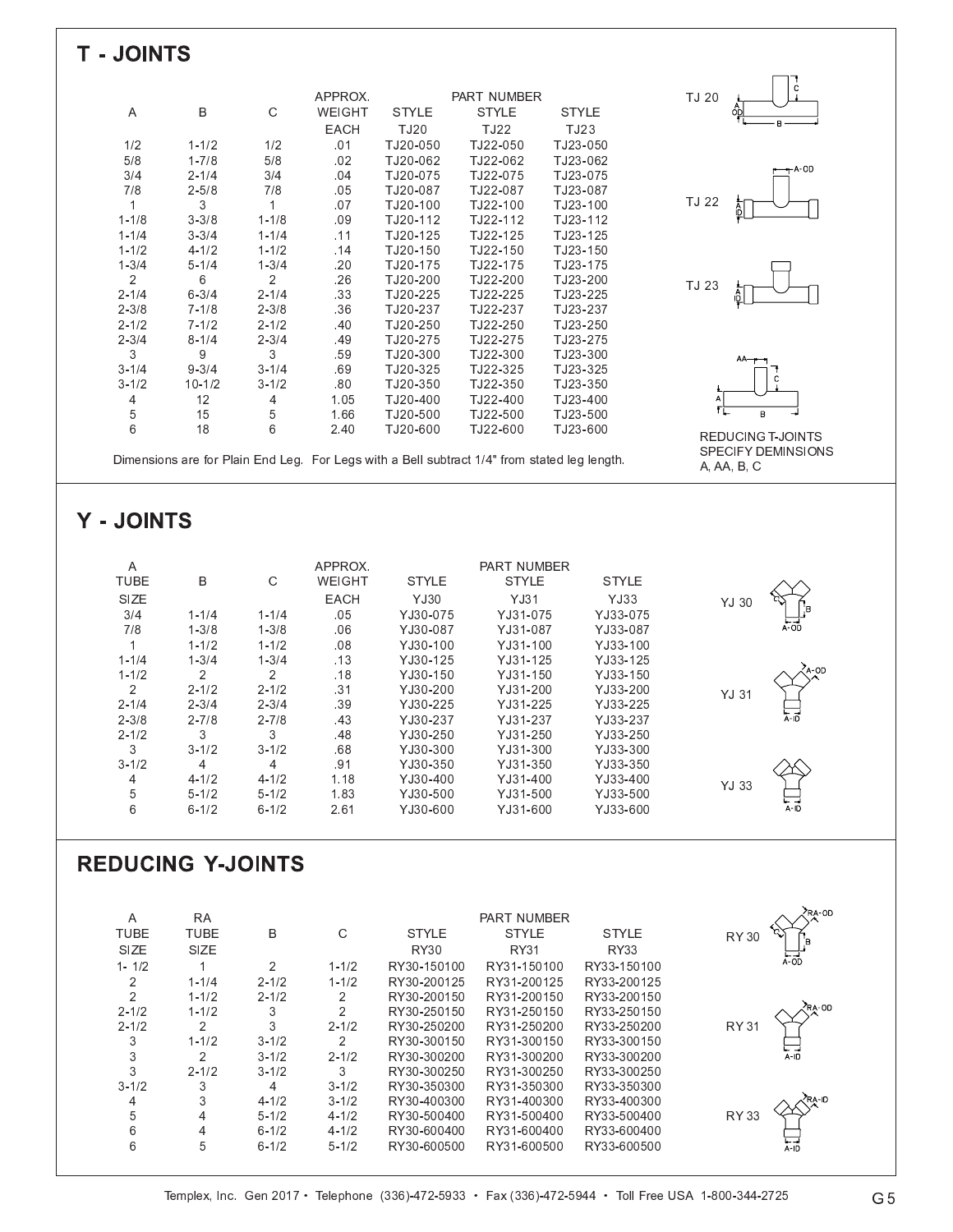| <b>T-JOINTS</b>                          |                             |                             |                        |                            |                                                                                              |                            |                          |
|------------------------------------------|-----------------------------|-----------------------------|------------------------|----------------------------|----------------------------------------------------------------------------------------------|----------------------------|--------------------------|
|                                          |                             |                             |                        |                            |                                                                                              |                            |                          |
|                                          |                             |                             |                        |                            |                                                                                              |                            |                          |
|                                          |                             |                             | APPROX.                |                            | PART NUMBER                                                                                  |                            | TJ 20                    |
| Α                                        | В                           | С                           | WEIGHT                 | <b>STYLE</b>               | <b>STYLE</b>                                                                                 | <b>STYLE</b>               |                          |
|                                          |                             |                             | EACH                   | TJ20                       | TJ22                                                                                         | TJ23                       |                          |
| 1/2                                      | $1 - 1/2$                   | 1/2                         | .01                    | TJ20-050                   | TJ22-050                                                                                     | TJ23-050                   |                          |
| $5/8$                                    | $1 - 7/8$                   | 5/8                         | .02                    | TJ20-062                   | TJ22-062                                                                                     | TJ23-062                   | $+A$ -OD                 |
| 3/4<br>7/8                               | $2 - 1/4$<br>$2 - 5/8$      | 3/4<br>7/8                  | .04<br>.05             | TJ20-075<br>TJ20-087       | TJ22-075<br>TJ22-087                                                                         | TJ23-075<br>TJ23-087       |                          |
| $\mathbf{1}$                             | 3                           | $\mathbf{1}$                | .07                    | TJ20-100                   | TJ22-100                                                                                     | TJ23-100                   | TJ 22                    |
| $1 - 1/8$                                | $3 - 3/8$                   | $1 - 1/8$                   | .09                    | TJ20-112                   | TJ22-112                                                                                     | TJ23-112                   |                          |
| $1 - 1/4$                                | $3 - 3/4$                   | $1 - 1/4$                   | .11                    | TJ20-125                   | TJ22-125                                                                                     | TJ23-125                   |                          |
| $1 - 1/2$                                | $4 - 1/2$                   | $1 - 1/2$                   | .14                    | TJ20-150                   | TJ22-150                                                                                     | TJ23-150                   |                          |
| $1 - 3/4$                                | $5 - 1/4$                   | $1 - 3/4$                   | .20                    | TJ20-175                   | TJ22-175                                                                                     | TJ23-175                   |                          |
| $\overline{2}$<br>$2 - 1/4$              | 6<br>$6 - 3/4$              | $\overline{2}$<br>$2 - 1/4$ | .26<br>.33             | TJ20-200<br>TJ20-225       | TJ22-200<br>TJ22-225                                                                         | TJ23-200<br>TJ23-225       | TJ 23                    |
| $2 - 3/8$                                | $7 - 1/8$                   | $2 - 3/8$                   | .36                    | TJ20-237                   | TJ22-237                                                                                     | TJ23-237                   |                          |
| $2 - 1/2$                                | $7 - 1/2$                   | $2 - 1/2$                   | .40                    | TJ20-250                   | TJ22-250                                                                                     | TJ23-250                   |                          |
| $2 - 3/4$                                | $8 - 1/4$                   | $2 - 3/4$                   | .49                    | TJ20-275                   | TJ22-275                                                                                     | TJ23-275                   |                          |
| 3                                        | 9                           | 3                           | .59                    | TJ20-300                   | TJ22-300                                                                                     | TJ23-300                   |                          |
| $3 - 1/4$                                | $9 - 3/4$                   | $3 - 1/4$                   | .69                    | TJ20-325                   | TJ22-325                                                                                     | TJ23-325                   | C                        |
| $3 - 1/2$                                | $10 - 1/2$                  | $3 - 1/2$                   | .80                    | TJ20-350                   | TJ22-350                                                                                     | TJ23-350                   |                          |
| 4                                        | 12                          | 4                           | 1.05                   | TJ20-400                   | TJ22-400                                                                                     | TJ23-400                   |                          |
| 5<br>6                                   | 15<br>18                    | 5                           | 1.66                   | TJ20-500<br>TJ20-600       | TJ22-500                                                                                     | TJ23-500                   | $\mathsf B$              |
|                                          |                             | 6                           | 2.40                   |                            | TJ22-600                                                                                     | TJ23-600                   | <b>REDUCING T-JOINTS</b> |
|                                          |                             |                             |                        |                            | Dimensions are for Plain End Leg. For Legs with a Bell subtract 1/4" from stated leg length. |                            | SPECIFY DEMINSIONS       |
|                                          |                             |                             |                        |                            |                                                                                              |                            | A, AA, B, C              |
|                                          |                             |                             |                        |                            |                                                                                              |                            |                          |
| Y - JOINTS                               |                             |                             |                        |                            |                                                                                              |                            |                          |
|                                          |                             |                             |                        |                            |                                                                                              |                            |                          |
| $\boldsymbol{\mathsf{A}}$<br><b>TUBE</b> | В                           | С                           | APPROX.<br>WEIGHT      | <b>STYLE</b>               | PART NUMBER<br><b>STYLE</b>                                                                  | <b>STYLE</b>               |                          |
| SIZE                                     |                             |                             | EACH                   | <b>YJ30</b>                | YJ31                                                                                         | YJ33                       |                          |
| 3/4                                      | $1 - 1/4$                   | $1 - 1/4$                   | .05                    | YJ30-075                   | YJ31-075                                                                                     | YJ33-075                   | YJ 30                    |
| 7/8                                      | $1 - 3/8$                   | $1 - 3/8$                   | .06                    | YJ30-087                   | YJ31-087                                                                                     | YJ33-087                   | $A$ -OD                  |
| $\mathbf{1}$                             | $1 - 1/2$                   | $1 - 1/2$                   | .08                    | YJ30-100                   | YJ31-100                                                                                     | YJ33-100                   |                          |
| $1 - 1/4$                                |                             |                             | .13                    | YJ30-125                   | YJ31-125                                                                                     | YJ33-125                   |                          |
|                                          | $1 - 3/4$                   | $1 - 3/4$                   |                        |                            |                                                                                              |                            |                          |
| $1 - 1/2$                                | 2                           | $\overline{c}$              | .18                    | YJ30-150                   | YJ31-150                                                                                     | YJ33-150                   | A-OD                     |
| $\overline{c}$                           | $2 - 1/2$                   | $2 - 1/2$                   | .31                    | YJ30-200                   | YJ31-200                                                                                     | YJ33-200                   | YJ 31                    |
| $2 - 1/4$                                | $2 - 3/4$                   | $2 - 3/4$                   | .39                    | YJ30-225                   | YJ31-225                                                                                     | YJ33-225                   |                          |
| $2 - 3/8$                                | $2 - 7/8$                   | $2 - 7/8$                   | .43                    | YJ30-237                   | YJ31-237                                                                                     | YJ33-237                   | A-ID                     |
| $2 - 1/2$<br>3                           | 3                           | 3                           | .48                    | YJ30-250                   | YJ31-250<br>YJ31-300                                                                         | YJ33-250<br>YJ33-300       |                          |
| $3 - 1/2$                                | $3 - 1/2$<br>4              | $3 - 1/2$<br>4              | .68<br>.91             | YJ30-300<br>YJ30-350       | YJ31-350                                                                                     | YJ33-350                   |                          |
| 4                                        | $4 - 1/2$                   | $4 - 1/2$                   | 1.18                   | YJ30-400                   | YJ31-400                                                                                     | YJ33-400                   |                          |
| 5                                        | $5 - 1/2$                   | $5 - 1/2$                   | 1.83                   | YJ30-500                   | YJ31-500                                                                                     | YJ33-500                   | <b>YJ 33</b>             |
| 6                                        | $6 - 1/2$                   | $6 - 1/2$                   | 2.61                   | YJ30-600                   | YJ31-600                                                                                     | YJ33-600                   |                          |
|                                          |                             |                             |                        |                            |                                                                                              |                            |                          |
|                                          | <b>REDUCING Y-JOINTS</b>    |                             |                        |                            |                                                                                              |                            |                          |
| Α                                        | <b>RA</b>                   |                             |                        |                            | PART NUMBER                                                                                  |                            | RA-OD                    |
| <b>TUBE</b>                              | <b>TUBE</b>                 | В                           | $\mathsf C$            | <b>STYLE</b>               | <b>STYLE</b>                                                                                 | <b>STYLE</b>               | <b>RY 30</b>             |
| SIZE                                     | SIZE                        |                             |                        | <b>RY30</b>                | <b>RY31</b>                                                                                  | <b>RY33</b>                |                          |
| $1 - 1/2$                                | $\mathbf{1}$                | $\overline{c}$              | $1 - 1/2$              | RY30-150100                | RY31-150100                                                                                  | RY33-150100                | $\overline{A}$ -OD       |
| 2                                        | $1 - 1/4$                   | $2 - 1/2$                   | $1 - 1/2$              | RY30-200125                | RY31-200125                                                                                  | RY33-200125                |                          |
| $\overline{c}$                           | $1 - 1/2$                   | $2 - 1/2$                   | 2                      | RY30-200150                | RY31-200150                                                                                  | RY33-200150                |                          |
| $2 - 1/2$<br>$2 - 1/2$                   | $1 - 1/2$<br>$\overline{2}$ | 3<br>3                      | 2<br>$2 - 1/2$         | RY30-250150<br>RY30-250200 | RY31-250150<br>RY31-250200                                                                   | RY33-250150<br>RY33-250200 | <b>RY 31</b>             |
| 3                                        | $1 - 1/2$                   | $3 - 1/2$                   | 2                      | RY30-300150                | RY31-300150                                                                                  | RY33-300150                |                          |
| 3                                        | 2                           | $3 - 1/2$                   | $2 - 1/2$              | RY30-300200                | RY31-300200                                                                                  | RY33-300200                | $A - 10$                 |
| 3                                        | $2 - 1/2$                   | $3 - 1/2$                   | 3                      | RY30-300250                | RY31-300250                                                                                  | RY33-300250                |                          |
| $3 - 1/2$                                | 3                           | 4                           | $3 - 1/2$              | RY30-350300                | RY31-350300                                                                                  | RY33-350300                |                          |
| $\overline{4}$                           | 3                           | $4 - 1/2$                   | $3 - 1/2$              | RY30-400300                | RY31-400300                                                                                  | RY33-400300                |                          |
| 5<br>6                                   | 4<br>4                      | $5 - 1/2$<br>$6 - 1/2$      | $4 - 1/2$<br>$4 - 1/2$ | RY30-500400<br>RY30-600400 | RY31-500400<br>RY31-600400                                                                   | RY33-500400<br>RY33-600400 | <b>RY 33</b>             |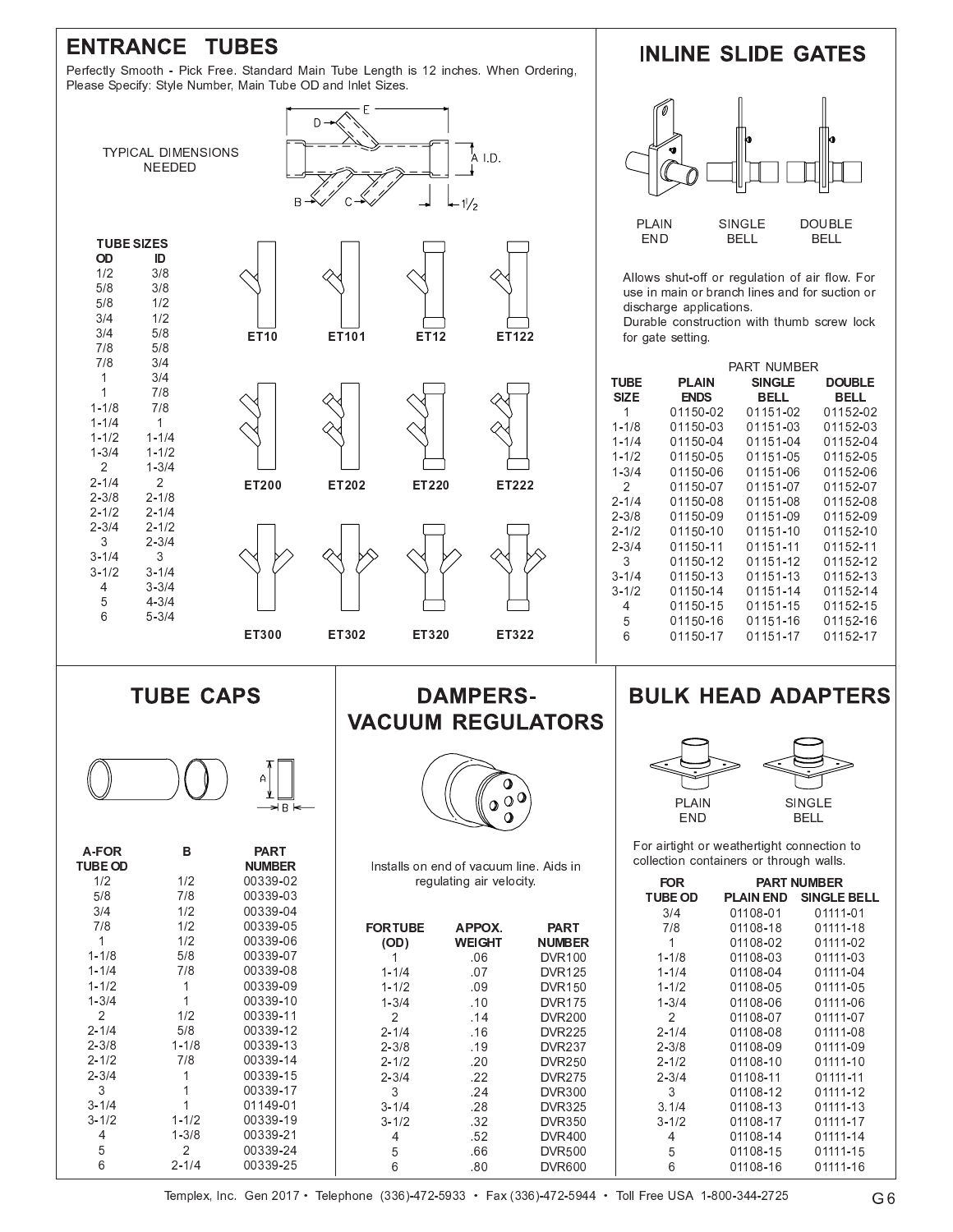## **ENTRANCE TUBES**

Perfectly Smooth - Pick Free. Standard Main Tube Length is 12 inches. When Ordering, Please Specify: Style Number, Main Tube OD and Inlet Sizes.







| <b>A-FOR</b><br><b>TUBE OD</b> | в         | <b>PART</b><br><b>NUMBER</b> |
|--------------------------------|-----------|------------------------------|
| 1/2                            | 1/2       | 00339-02                     |
| 5/8                            | 7/8       | 00339-03                     |
| 3/4                            | 1/2       | 00339-04                     |
| 7/8                            | 1/2       | 00339-05                     |
| 1                              | 1/2       | 00339-06                     |
| $1 - 1/8$                      | 5/8       | 00339-07                     |
| $1 - 1/4$                      | 7/8       | 00339-08                     |
| $1 - 1/2$                      | 1         | 00339-09                     |
| $1 - 3/4$                      | 1         | 00339-10                     |
| 2                              | 1/2       | 00339-11                     |
| $2 - 1/4$                      | 5/8       | 00339-12                     |
| $2 - 3/8$                      | $1 - 1/8$ | 00339-13                     |
| $2 - 1/2$                      | 7/8       | 00339-14                     |
| $2 - 3/4$                      | 1         | 00339-15                     |
| 3                              | 1         | 00339-17                     |
| $3 - 1/4$                      | 1         | 01149-01                     |
| $3 - 1/2$                      | $1 - 1/2$ | 00339-19                     |
| 4                              | $1 - 3/8$ | 00339-21                     |
| 5                              | 2         | 00339-24                     |
| 6                              | $2 - 1/4$ | 00339-25                     |

#### **DAMPERS-VACUUM REGULATORS**



| Installs on end of vacuum line. Aids in |
|-----------------------------------------|
| regulating air velocity                 |

| 14             |                 |               |               |  |
|----------------|-----------------|---------------|---------------|--|
| 15             | <b>FOR TUBE</b> | APPOX.        | <b>PART</b>   |  |
| 16             | (OD)            | <b>WEIGHT</b> | <b>NUMBER</b> |  |
| 17             |                 | .06           | <b>DVR100</b> |  |
| 8              | $1 - 1/4$       | .07           | <b>DVR125</b> |  |
| 19             | $1 - 1/2$       | .09           | <b>DVR150</b> |  |
| 0              | $1 - 3/4$       | .10           | <b>DVR175</b> |  |
| $\mathbf 1$    | $\mathcal{P}$   | .14           | <b>DVR200</b> |  |
| $\overline{2}$ | $2 - 1/4$       | .16           | <b>DVR225</b> |  |
| 3              | $2 - 3/8$       | .19           | <b>DVR237</b> |  |
| $\overline{4}$ | $2 - 1/2$       | .20           | <b>DVR250</b> |  |
| 5              | $2 - 3/4$       | .22           | <b>DVR275</b> |  |
| 7              | 3               | .24           | <b>DVR300</b> |  |
| 1              | $3 - 1/4$       | .28           | <b>DVR325</b> |  |
| 9              | $3 - 1/2$       | .32           | <b>DVR350</b> |  |
| $^{\prime}$ 1  | 4               | .52           | <b>DVR400</b> |  |
| 24             | 5               | .66           | <b>DVR500</b> |  |
| :5             | 6               | .80           | <b>DVR600</b> |  |
|                |                 |               |               |  |

#### **INLINE SLIDE GATES**



Allows shut-off or regulation of air flow. For use in main or branch lines and for suction or discharge applications.

Durable construction with thumb screw lock for gate setting.

|             |             | PART NUMBER   |               |
|-------------|-------------|---------------|---------------|
| <b>TUBE</b> | PLAIN       | <b>SINGLE</b> | <b>DOUBLE</b> |
| <b>SIZE</b> | <b>ENDS</b> | BELL          | BELL          |
| 1           | 01150-02    | 01151-02      | 01152-02      |
| $1 - 1/8$   | 01150-03    | 01151-03      | 01152-03      |
| $1 - 1/4$   | 01150-04    | 01151-04      | 01152-04      |
| $1 - 1/2$   | 01150-05    | 01151-05      | 01152-05      |
| $1 - 3/4$   | 01150-06    | 01151-06      | 01152-06      |
| 2           | 01150-07    | 01151-07      | 01152-07      |
| $2 - 1/4$   | 01150-08    | 01151-08      | 01152-08      |
| $2 - 3/8$   | 01150-09    | 01151-09      | 01152-09      |
| $2 - 1/2$   | 01150-10    | 01151-10      | 01152-10      |
| $2 - 3/4$   | 01150-11    | 01151-11      | 01152-11      |
| 3           | 01150-12    | 01151-12      | 01152-12      |
| $3 - 1/4$   | 01150-13    | 01151-13      | 01152-13      |
| $3 - 1/2$   | 01150-14    | 01151-14      | 01152-14      |
| 4           | 01150-15    | 01151-15      | 01152-15      |
| 5           | 01150-16    | 01151-16      | 01152-16      |
| 6           | 01150-17    | 01151-17      | 01152-17      |

## **BULK HEAD ADAPTERS**



For airtight or weathertight connection to collection containers or through walls.

| FOR            |           | <b>PART NUMBER</b> |
|----------------|-----------|--------------------|
| <b>TUBE OD</b> | PLAIN END | <b>SINGLE BELL</b> |
| 3/4            | 01108-01  | 01111-01           |
| 7/8            | 01108-18  | 01111-18           |
| 1              | 01108-02  | 01111-02           |
| $1 - 1/8$      | 01108-03  | 01111-03           |
| 1-1/4          | 01108-04  | 01111-04           |
| $1 - 1/2$      | 01108-05  | 01111-05           |
| 1-3/4          | 01108-06  | 01111-06           |
| 2              | 01108-07  | 01111-07           |
| $2 - 1/4$      | 01108-08  | 01111-08           |
| $2 - 3/8$      | 01108-09  | 01111-09           |
| $2 - 1/2$      | 01108-10  | 01111-10           |
| $2 - 3/4$      | 01108-11  | 01111-11           |
| 3              | 01108-12  | 01111-12           |
| 3.1/4          | 01108-13  | 01111-13           |
| $3 - 1/2$      | 01108-17  | 01111-17           |
| 4              | 01108-14  | 01111-14           |
| 5              | 01108-15  | 01111-15           |
| 6              | 01108-16  | 01111-16           |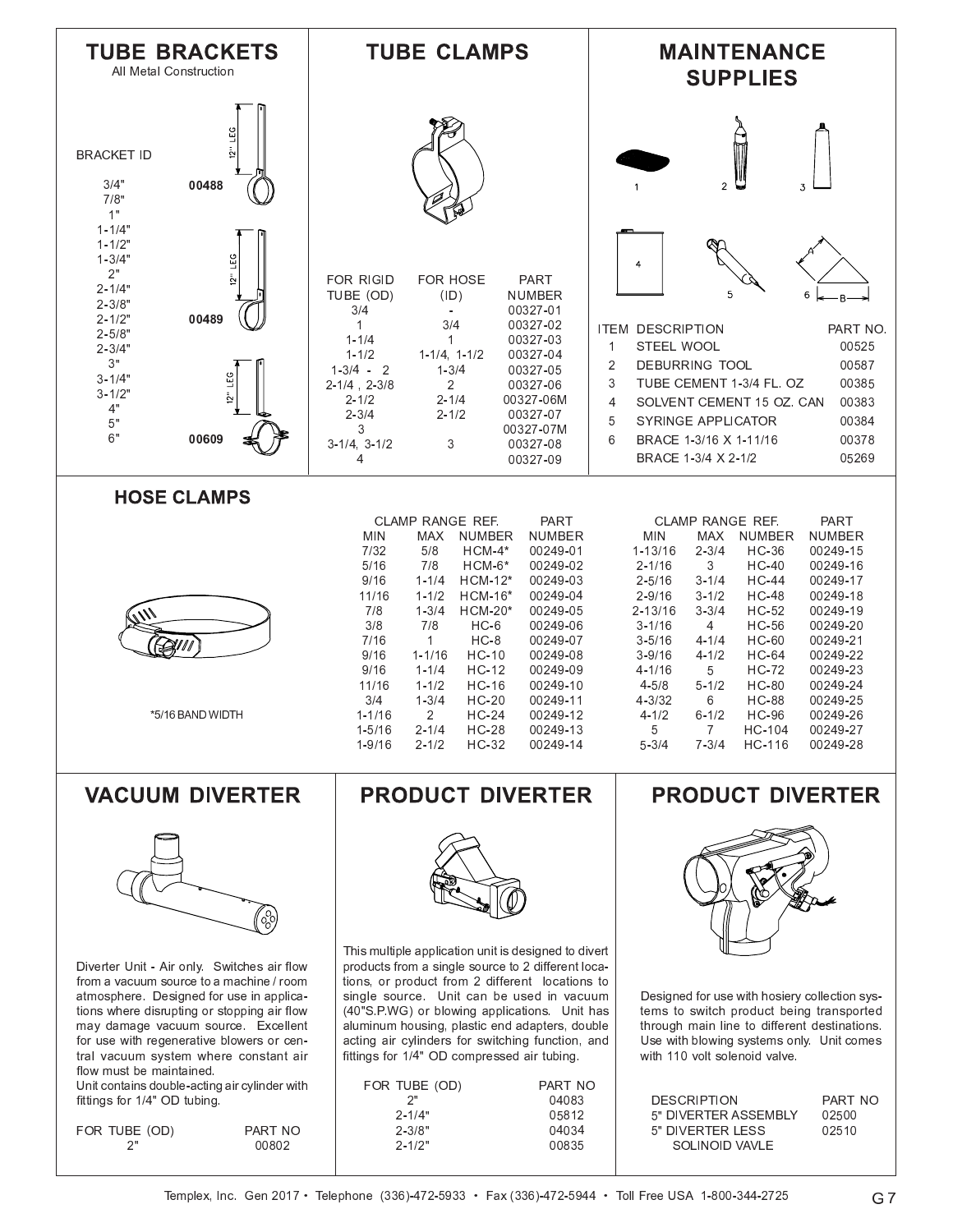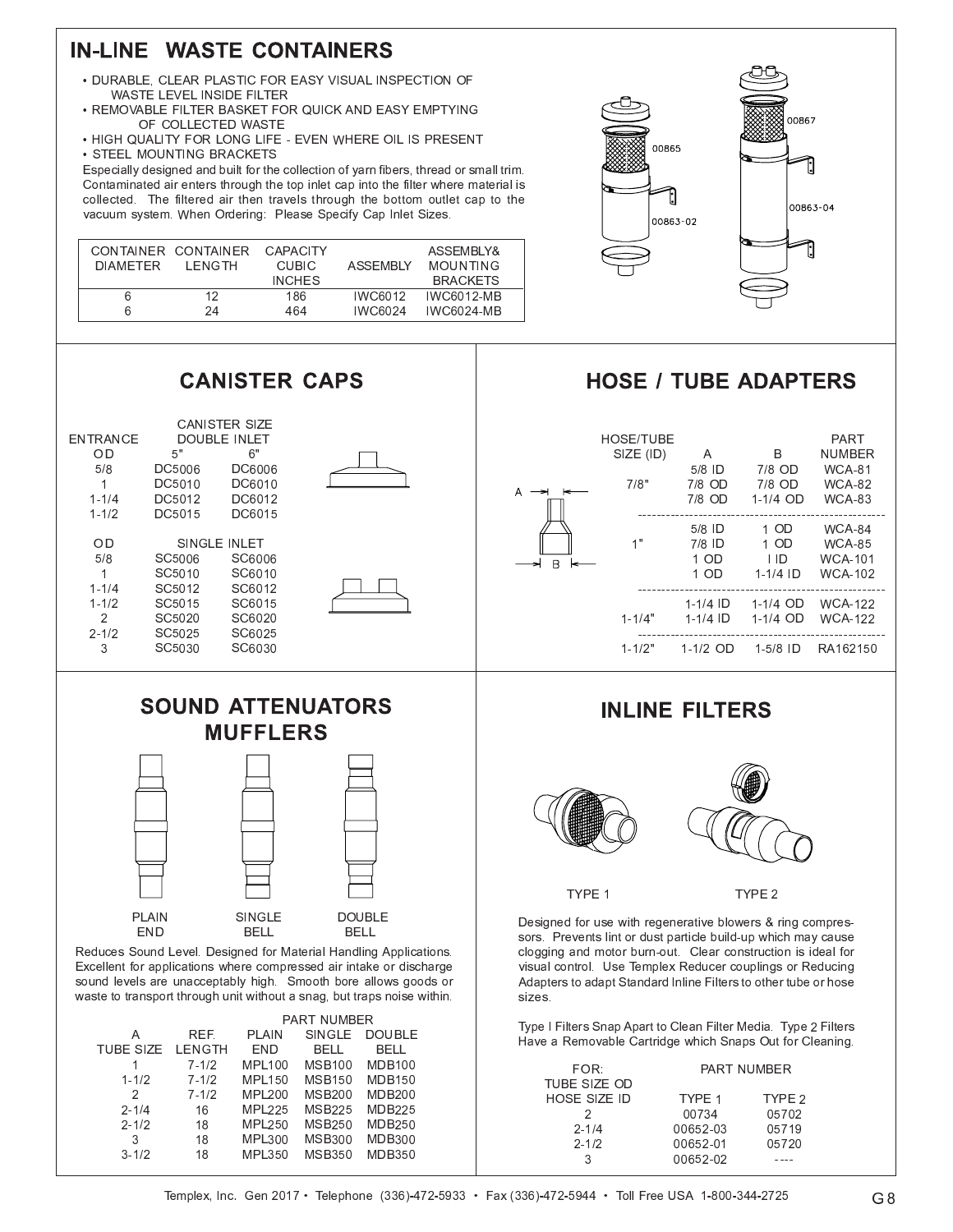## **IN-LINE WASTE CONTAINERS**

 $\overline{1}$ 

 $\overline{2}$ 

ົາ 1

 $\Omega$   $\sim$ 

 $\sim$  1

 $4 \cdot 4 \cdot 2$ 

 $3$   $18$ 

 $\rightarrow$ 

 $\rightarrow$ 

 $\rightarrow$ 

 $16$ 

 $18$ 

18

1 1 1 5 A 5 A

חמות

 $MDLOER$ 

 $\mathsf{MDL}$  20.

 $MDLOER$ 

פ וחו

MDI 100 MCD100 MDD10

 $MCD4E$ 

 $MCDOM$ 

 $MCDO6$ 

1.0D20

 $M$   $CD$   $2E$ 

E MODO

 $M \cap D 4E$ 

 $M \cap D \cap \cap$ 

 $MDD25$ 

8 4 D D 2 O

 $MDD2E$ 

E MODOO

- . DURABLE, CLEAR PLASTIC FOR EASY VISUAL INSPECTION OF WASTE LEVEL INSIDE FILTER
- . REMOVABLE FILTER BASKET FOR QUICK AND EASY EMPTYING AE AAH EATER MART
- $\bullet$  HIGH QUALITY FOR LONG LIFE EVEN WHERE OIL IS PRESEN  $\cdot$  STEEL MOUNTING BRACKETS

Especially designed and built for the collection of yarn fibers, thread or small trim. Contaminated air enters through the top inlet cap into the filter where material is collected. The filtered air then travels through the bottom outlet cap to the wasuum system When Ordering. Dleese Speeify Can Inlet Sizes

| DIAMFTFR | CONTAINER CONTAINER CAPACITY<br>I ENGTH | CUBIC.        | <b>ASSEMBIY</b> | ASSEMBLY&<br><b>MOUNTING</b> |
|----------|-----------------------------------------|---------------|-----------------|------------------------------|
|          |                                         | <b>INCHES</b> |                 | <b>BRACKETS</b>              |
|          | 12                                      | 186           | IWC6012         | <b>IWC6012-MB</b>            |
|          | 2Δ                                      | 464           | IWC6024         | <b>IWC6024-MB</b>            |



## HOSE / TURE ADAPTERS

|                                                                        |                                            | <b>CANISTER CAPS</b>                                                                             |                                                                                                                                                                                                                                                                                                                        |                                                                                                                                                                                                                                                                                                                                       | <b>HOSE / TUBE ADAPTERS</b>           |                                          |                                                   |                                                                          |
|------------------------------------------------------------------------|--------------------------------------------|--------------------------------------------------------------------------------------------------|------------------------------------------------------------------------------------------------------------------------------------------------------------------------------------------------------------------------------------------------------------------------------------------------------------------------|---------------------------------------------------------------------------------------------------------------------------------------------------------------------------------------------------------------------------------------------------------------------------------------------------------------------------------------|---------------------------------------|------------------------------------------|---------------------------------------------------|--------------------------------------------------------------------------|
| <b>ENTRANCE</b><br>OD<br>5/8<br>$\mathbf{1}$<br>$1 - 1/4$<br>$1 - 1/2$ | 5"<br>DC5006<br>DC5010<br>DC5012<br>DC5015 | <b>CANISTER SIZE</b><br><b>DOUBLE INLET</b><br>6"<br><b>DC6006</b><br>DC6010<br>DC6012<br>DC6015 |                                                                                                                                                                                                                                                                                                                        |                                                                                                                                                                                                                                                                                                                                       | <b>HOSE/TUBE</b><br>SIZE (ID)<br>7/8" | A<br>$5/8$ ID<br>7/8 OD<br>$7/8$ OD      | B<br>$7/8$ OD<br>7/8 OD<br>$1-1/4$ OD             | PART<br><b>NUMBER</b><br><b>WCA-81</b><br><b>WCA-82</b><br><b>WCA-83</b> |
| OD<br>5/8<br>$\mathbf{1}$                                              | SC5006<br>SC5010                           | SINGLE INLET<br>SC6006<br>SC6010                                                                 |                                                                                                                                                                                                                                                                                                                        | B                                                                                                                                                                                                                                                                                                                                     | 1"                                    | $5/8$ ID<br>$7/8$ ID<br>$1$ OD<br>$1$ OD | 1 OD<br>1 OD<br>$\overline{1}$ ID<br>$1 - 1/4$ ID | <b>WCA-84</b><br><b>WCA-85</b><br><b>WCA-101</b><br><b>WCA-102</b>       |
| $1 - 1/4$<br>$1 - 1/2$<br>2<br>$2 - 1/2$                               | SC5012<br>SC5015<br>SC5020<br>SC5025       | SC6012<br>SC6015<br>SC6020<br>SC6025                                                             |                                                                                                                                                                                                                                                                                                                        |                                                                                                                                                                                                                                                                                                                                       | $1 - 1/4"$                            | $1 - 1/4$ ID<br>$1 - 1/4$ ID             | $1-1/4$ OD<br>1-1/4 OD                            | <b>WCA-122</b><br><b>WCA-122</b>                                         |
| 3                                                                      | SC5030                                     | SC6030                                                                                           |                                                                                                                                                                                                                                                                                                                        |                                                                                                                                                                                                                                                                                                                                       | $1 - 1/2"$                            | 1-1/2 OD                                 | $1-5/8$ ID                                        | RA162150                                                                 |
|                                                                        |                                            | <b>MUFFLERS</b>                                                                                  | <b>SOUND ATTENUATORS</b>                                                                                                                                                                                                                                                                                               |                                                                                                                                                                                                                                                                                                                                       | <b>INLINE FILTERS</b>                 |                                          |                                                   |                                                                          |
|                                                                        |                                            |                                                                                                  |                                                                                                                                                                                                                                                                                                                        | TYPE 1                                                                                                                                                                                                                                                                                                                                |                                       |                                          | TYPE <sub>2</sub>                                 |                                                                          |
|                                                                        | <b>PLAIN</b><br><b>END</b>                 | <b>SINGLE</b><br><b>BELL</b>                                                                     | <b>DOUBLE</b><br><b>BELL</b><br>Reduces Sound Level. Designed for Material Handling Applications.<br>Excellent for applications where compressed air intake or discharge<br>sound levels are unacceptably high. Smooth bore allows goods or<br>waste to transport through unit without a snag, but traps noise within. | Designed for use with regenerative blowers & ring compres-<br>sors. Prevents lint or dust particle build-up which may cause<br>clogging and motor burn-out. Clear construction is ideal for<br>visual control. Use Templex Reducer couplings or Reducing<br>Adapters to adapt Standard Inline Filters to other tube or hose<br>sizes. |                                       |                                          |                                                   |                                                                          |
|                                                                        |                                            |                                                                                                  |                                                                                                                                                                                                                                                                                                                        |                                                                                                                                                                                                                                                                                                                                       |                                       |                                          |                                                   |                                                                          |

| FOR:<br>TUBE SIZE OD |                   | PART NUMBER       |
|----------------------|-------------------|-------------------|
| <b>HOSE SIZE ID</b>  | TYPF <sub>1</sub> | TYPF <sub>2</sub> |
|                      | 00734             | 05702             |
| $2 - 1/4$            | 00652-03          | 05719             |
| $2 - 1/2$            | 00652-01          | 05720             |
|                      | 00652-02          |                   |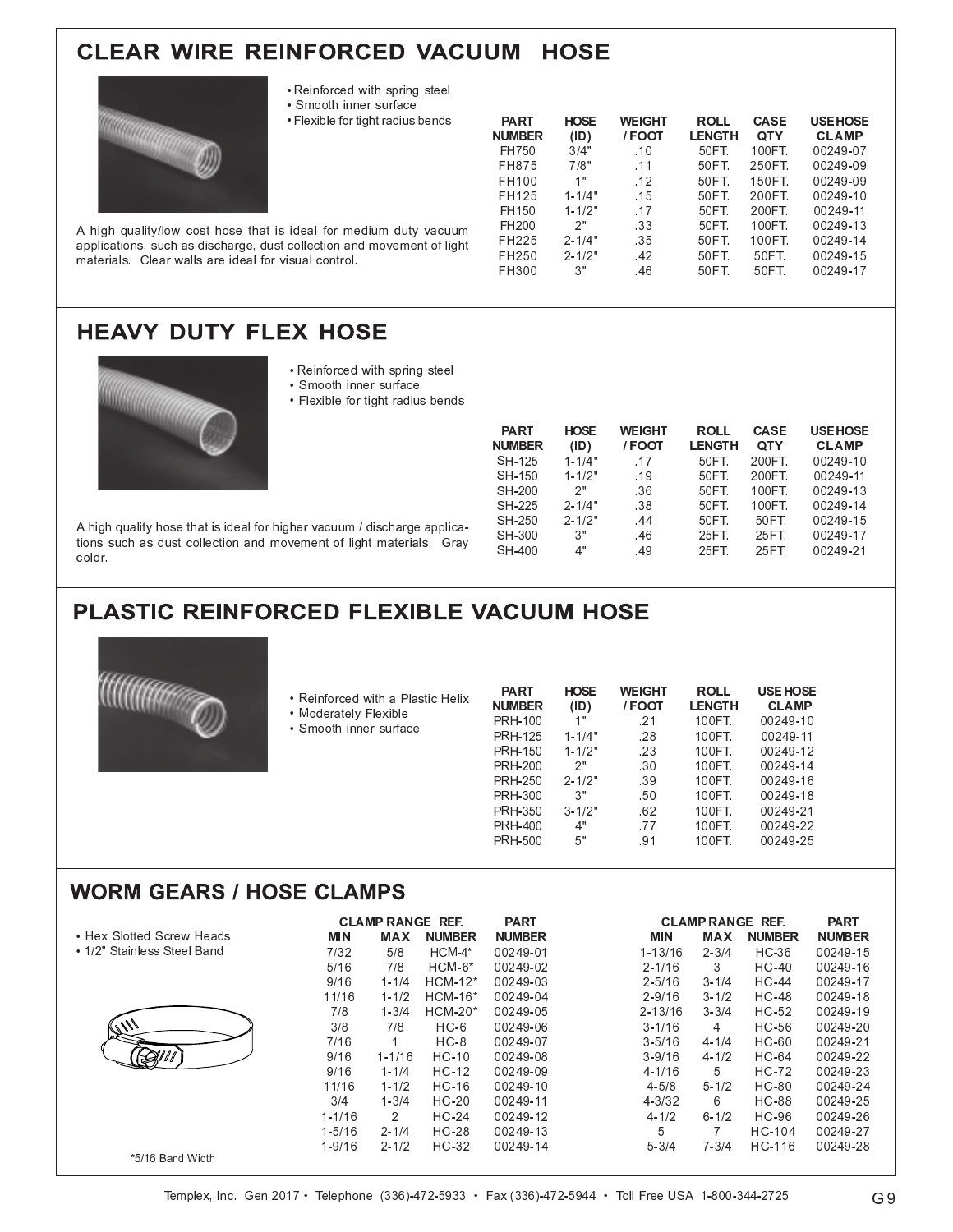## **CLEAR WIRE REINFORCED VACUUM HOSE**



- · Reinforced with spring steel
- · Smooth inner surface
- Flexible for tight radius bends

| <b>PART</b><br><b>NUMBER</b> | <b>HOSE</b><br>(ID) | <b>WEIGHT</b><br>/FOOT | <b>ROLL</b><br><b>LENGTH</b> | <b>CASE</b><br>QTY | <b>USE HOSE</b><br><b>CLAMP</b> |
|------------------------------|---------------------|------------------------|------------------------------|--------------------|---------------------------------|
| FH750                        | 3/4"                | .10                    | 50FT.                        | 100FT.             | 00249-07                        |
| FH875                        | 7/8"                | 11                     | 50FT.                        | 250FT.             | 00249-09                        |
| FH100                        | 1"                  | .12                    | 50FT.                        | 150FT.             | 00249-09                        |
| FH125                        | $1 - 1/4"$          | .15                    | 50FT.                        | 200FT.             | 00249-10                        |
| FH150                        | $1 - 1/2"$          | -17                    | 50FT.                        | 200FT.             | 00249-11                        |
| FH <sub>200</sub>            | 2"                  | .33                    | 50FT.                        | 100FT.             | 00249-13                        |
| FH225                        | $2 - 1/4"$          | .35                    | 50FT.                        | 100FT.             | 00249-14                        |
| FH250                        | $2 - 1/2"$          | .42                    | 50FT.                        | 50FT.              | 00249-15                        |
| FH300                        | 3"                  | .46                    | 50FT.                        | 50FT               | 00249-17                        |

A high quality/low cost hose that is ideal for medium duty vacuum applications, such as discharge, dust collection and movement of light materials. Clear walls are ideal for visual control.

## **HEAVY DUTY FLEX HOSE**



- · Reinforced with spring steel
- · Smooth inner surface
- Flexible for tight radius bends

| <b>PART</b><br><b>NUMBER</b> | <b>HOSE</b><br>(1D) | <b>WEIGHT</b><br>/FOOT | ROLL<br><b>LENGTH</b> | <b>CASE</b><br><b>QTY</b> | <b>USE HOSE</b><br><b>CLAMP</b> |
|------------------------------|---------------------|------------------------|-----------------------|---------------------------|---------------------------------|
| SH-125                       | $1 - 1/4"$          | .17                    | 50FT.                 | 200FT.                    | 00249-10                        |
| SH-150                       | $1 - 1/2"$          | -19                    | 50FT.                 | 200FT.                    | 00249-11                        |
| SH-200                       | 2"                  | .36                    | 50FT.                 | 100FT.                    | 00249-13                        |
| SH-225                       | $2 - 1/4"$          | .38                    | 50FT.                 | 100FT.                    | 00249-14                        |
| SH-250                       | $2 - 1/2"$          | .44                    | 50FT.                 | 50FT                      | 00249-15                        |
| SH-300                       | 3"                  | .46                    | 25FT                  | 25FT                      | 00249-17                        |
| SH-400                       | 4"                  | .49                    | 25FT                  | 25FT                      | 00249-21                        |

A high quality hose that is ideal for higher vacuum / discharge applications such as dust collection and movement of light materials. Gray color.

## PLASTIC REINFORCED FLEXIBLE VACUUM HOSE



| • Reinforced with a Plastic Helix<br>• Moderately Flexible | <b>PART</b><br><b>NUMBER</b> | <b>HOSE</b><br>(1D) | <b>WEIGHT</b><br>/FOOT | <b>ROLL</b><br><b>LENGTH</b> | <b>USE HOSE</b><br><b>CLAMP</b> |
|------------------------------------------------------------|------------------------------|---------------------|------------------------|------------------------------|---------------------------------|
| • Smooth inner surface                                     | <b>PRH-100</b>               | 1"                  | .21                    | 100FT.                       | 00249-10                        |
|                                                            | <b>PRH-125</b>               | $1 - 1/4"$          | .28                    | 100FT.                       | 00249-11                        |
|                                                            | <b>PRH-150</b>               | $1 - 1/2"$          | .23                    | 100FT.                       | 00249-12                        |
|                                                            | <b>PRH-200</b>               | 2"                  | .30                    | 100FT.                       | 00249-14                        |
|                                                            | <b>PRH-250</b>               | $2 - 1/2"$          | .39                    | 100FT.                       | 00249-16                        |
|                                                            | <b>PRH-300</b>               | 3"                  | .50                    | 100FT.                       | 00249-18                        |
|                                                            | <b>PRH-350</b>               | $3 - 1/2"$          | .62                    | 100FT.                       | 00249-21                        |
|                                                            | <b>PRH-400</b>               | 4"                  | .77                    | 100FT.                       | 00249-22                        |
|                                                            | <b>PRH-500</b>               | 5"                  | .91                    | 100FT.                       | 00249-25                        |
|                                                            |                              |                     |                        |                              |                                 |

#### **WORM GEARS / HOSE CLAMPS**

|                             |            | <b>CLAMP RANGE REF.</b> |               | <b>PART</b>   |             |                | <b>CLAMP RANGE REF.</b> | <b>PART</b>   |
|-----------------------------|------------|-------------------------|---------------|---------------|-------------|----------------|-------------------------|---------------|
| • Hex Slotted Screw Heads   | <b>MIN</b> | <b>MAX</b>              | <b>NUMBER</b> | <b>NUMBER</b> | MIN         | <b>MAX</b>     | <b>NUMBER</b>           | <b>NUMBER</b> |
| • 1/2" Stainless Steel Band | 7/32       | 5/8                     | $HCM-4*$      | 00249-01      | $1 - 13/16$ | $2 - 3/4$      | HC-36                   | 00249-15      |
|                             | 5/16       | 7/8                     | $HCM-6*$      | 00249-02      | $2 - 1/16$  | 3              | $HC-40$                 | 00249-16      |
|                             | 9/16       | $1 - 1/4$               | $HCM-12*$     | 00249-03      | $2 - 5/16$  | $3 - 1/4$      | HC-44                   | 00249-17      |
|                             | 11/16      | $1 - 1/2$               | $HCM-16*$     | 00249-04      | $2 - 9/16$  | $3 - 1/2$      | HC-48                   | 00249-18      |
|                             | 7/8        | $1 - 3/4$               | $HCM-20*$     | 00249-05      | $2 - 13/16$ | $3 - 3/4$      | HC-52                   | 00249-19      |
|                             | 3/8        | 7/8                     | $HC-6$        | 00249-06      | $3 - 1/16$  | $\overline{4}$ | HC-56                   | 00249-20      |
|                             | 7/16       | 1                       | $HC-8$        | 00249-07      | $3 - 5/16$  | $4 - 1/4$      | HC-60                   | 00249-21      |
| <b>DUI</b>                  | 9/16       | $1 - 1/16$              | $HC-10$       | 00249-08      | $3 - 9/16$  | $4 - 1/2$      | HC-64                   | 00249-22      |
|                             | 9/16       | $1 - 1/4$               | $HC-12$       | 00249-09      | $4 - 1/16$  | 5              | HC-72                   | 00249-23      |
|                             | 11/16      | $1 - 1/2$               | HC-16         | 00249-10      | $4 - 5/8$   | $5 - 1/2$      | HC-80                   | 00249-24      |
|                             | 3/4        | $1 - 3/4$               | $HC-20$       | 00249-11      | $4 - 3/32$  | 6              | <b>HC-88</b>            | 00249-25      |
|                             | $1 - 1/16$ | 2                       | $HC-24$       | 00249-12      | $4 - 1/2$   | $6 - 1/2$      | HC-96                   | 00249-26      |
|                             | $1 - 5/16$ | $2 - 1/4$               | $HC-28$       | 00249-13      | 5           | 7              | HC-104                  | 00249-27      |
|                             | $1 - 9/16$ | $2 - 1/2$               | $HC-32$       | 00249-14      | $5 - 3/4$   | $7 - 3/4$      | HC-116                  | 00249-28      |
| *5/16 Band Width            |            |                         |               |               |             |                |                         |               |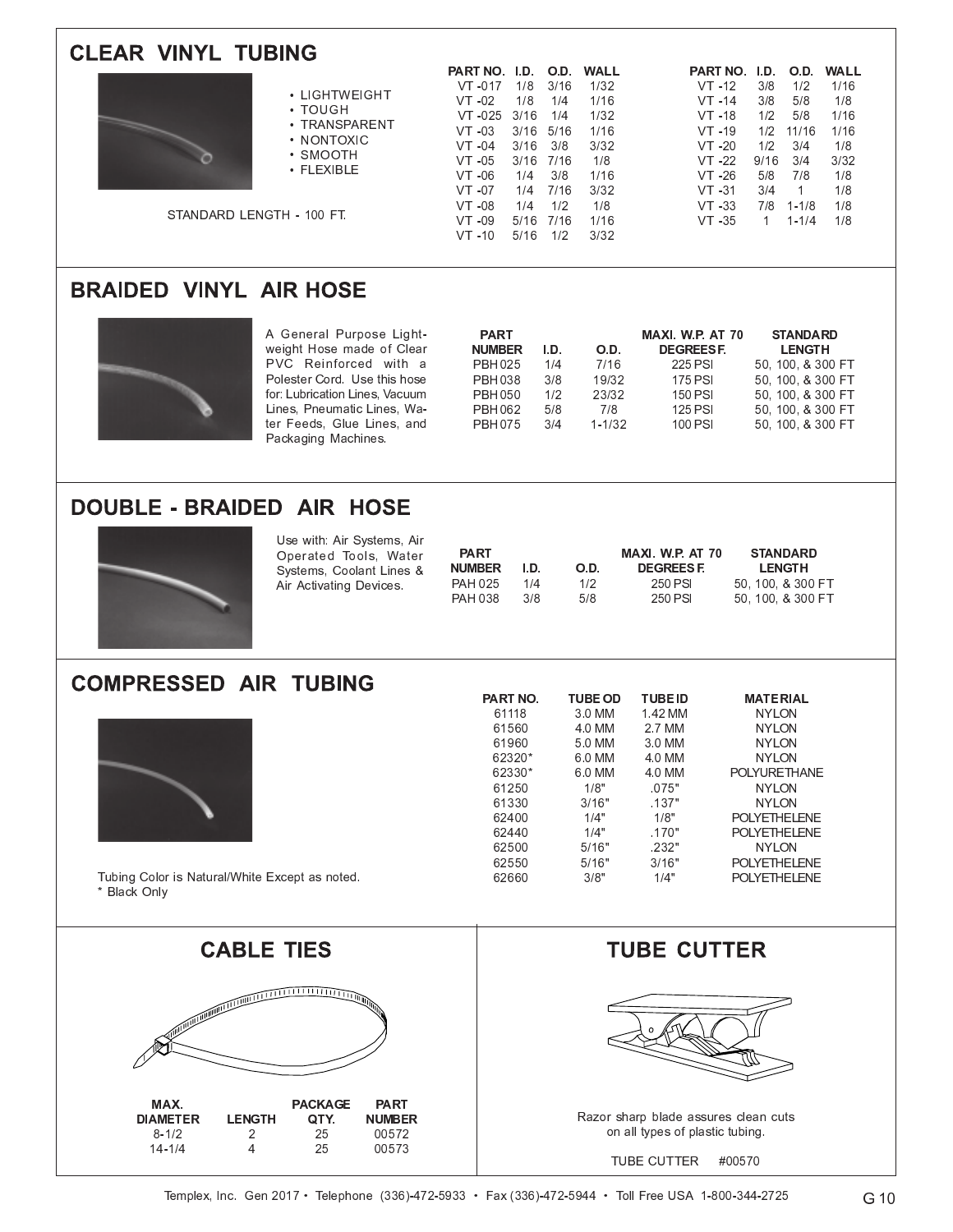| <b>CLEAR VINYL TUBING</b>                                                                                                                                                                                                                                                                              | WALL<br>PARTNO. I.D.<br>O.D. WALL<br>O.D.                                                                                                                                                                                                                                                                                                                                                                                                                                                                                                                                                                                                                                                                                                                                         |
|--------------------------------------------------------------------------------------------------------------------------------------------------------------------------------------------------------------------------------------------------------------------------------------------------------|-----------------------------------------------------------------------------------------------------------------------------------------------------------------------------------------------------------------------------------------------------------------------------------------------------------------------------------------------------------------------------------------------------------------------------------------------------------------------------------------------------------------------------------------------------------------------------------------------------------------------------------------------------------------------------------------------------------------------------------------------------------------------------------|
| • LIGHTWEIGHT<br>• TOUGH<br>• TRANSPARENT<br>• NONTOXIC<br>• SMOOTH<br>• FLEXIBLE<br>STANDARD LENGTH - 100 FT.                                                                                                                                                                                         | PART NO. I.D.<br>1/8<br>3/16<br>1/32<br>1/2<br>1/16<br>VT -017<br>$VT -12$<br>3/8<br>1/16<br>3/8<br>5/8<br>1/8<br>$VT -02$<br>1/8<br>1/4<br>$VT -14$<br>3/16<br>1/4<br>1/32<br>1/2<br>5/8<br>$VT -025$<br>$VT - 18$<br>1/16<br>1/16<br>$VT -03$<br>3/16 5/16<br>1/16<br>$VT - 19$<br>1/2<br>11/16<br>$VT -04$<br>3/16<br>3/8<br>3/32<br>VT 20<br>1/2<br>3/4<br>1/8<br>$VT - 22$<br>$VT -05$<br>3/16 7/16<br>1/8<br>9/16<br>3/4<br>3/32<br>3/8<br>1/8<br>$VT -06$<br>1/4<br>1/16<br>$VT - 26$<br>5/8<br>7/8<br>7/16<br>3/32<br>3/4<br>1/8<br>$VT -07$<br>1/4<br>$VT -31$<br>$\mathbf{1}$<br>1/2<br>1/8<br>1/8<br>$VT -08$<br>1/4<br>$VT - 33$<br>7/8<br>$1 - 1/8$<br>5/16 7/16<br>1/16<br>VT 35<br>$VT -09$<br>$\mathbf{1}$<br>$1 - 1/4$<br>1/8<br>$VT -10$<br>5/16<br>1/2<br>3/32 |
| <b>BRAIDED VINYL AIR HOSE</b>                                                                                                                                                                                                                                                                          |                                                                                                                                                                                                                                                                                                                                                                                                                                                                                                                                                                                                                                                                                                                                                                                   |
| A General Purpose Light-<br>weight Hose made of Clear<br>PVC Reinforced with a<br>Polester Cord. Use this hose<br>for: Lubrication Lines, Vacuum<br>Lines, Pneumatic Lines, Wa-<br>ter Feeds, Glue Lines, and<br>Packaging Machines.                                                                   | <b>PART</b><br>MAXI. W.P. AT 70<br><b>STANDARD</b><br><b>NUMBER</b><br>O.D.<br><b>DEGREESF.</b><br><b>LENGTH</b><br>I.D.<br>7/16<br><b>PBH025</b><br>1/4<br>225 PSI<br>50, 100, & 300 FT<br>PBH 038<br>3/8<br>19/32<br>175 PSI<br>50, 100, & 300 FT<br><b>PBH050</b><br>1/2<br>23/32<br>150 PSI<br>50, 100, & 300 FT<br>7/8<br>125 PSI<br>PBH 062<br>5/8<br>50, 100, & 300 FT<br>$1 - 1/32$<br><b>PBH075</b><br>3/4<br>100 PSI<br>50, 100, & 300 FT                                                                                                                                                                                                                                                                                                                               |
| <b>DOUBLE - BRAIDED AIR HOSE</b>                                                                                                                                                                                                                                                                       |                                                                                                                                                                                                                                                                                                                                                                                                                                                                                                                                                                                                                                                                                                                                                                                   |
| Use with: Air Systems, Air<br>Operated Tools, Water<br>Systems, Coolant Lines &<br>Air Activating Devices.                                                                                                                                                                                             | <b>PART</b><br>MAXI. W.P. AT 70<br><b>STANDARD</b><br><b>NUMBER</b><br>I.D.<br>O.D.<br><b>DEGREESF.</b><br><b>LENGTH</b><br><b>PAH 025</b><br>1/4<br>1/2<br>250 PSI<br>50, 100, & 300 FT<br><b>PAH 038</b><br>3/8<br>5/8<br>250 PSI<br>50, 100, & 300 FT                                                                                                                                                                                                                                                                                                                                                                                                                                                                                                                          |
| <b>COMPRESSED AIR TUBING</b>                                                                                                                                                                                                                                                                           | PART NO.<br><b>TUBE OD</b><br><b>TUBE ID</b><br><b>MATERIAL</b>                                                                                                                                                                                                                                                                                                                                                                                                                                                                                                                                                                                                                                                                                                                   |
| Tubing Color is Natural/White Except as noted.<br>* Black Only                                                                                                                                                                                                                                         | 61118<br>1.42 MM<br><b>NYLON</b><br>3.0 MM<br>61560<br><b>NYLON</b><br>4.0 MM<br>2.7 MM<br>61960<br>5.0 MM<br><b>NYLON</b><br>3.0 MM<br>62320*<br>6.0 MM<br><b>NYLON</b><br>4.0 MM<br>62330*<br>6.0 MM<br>4.0 MM<br><b>POLYURETHANE</b><br>61250<br>1/8"<br>.075"<br><b>NYLON</b><br>61330<br>3/16"<br>.137"<br><b>NYLON</b><br>1/4"<br>1/8"<br>62400<br><b>POLYETHELENE</b><br>62440<br>1/4"<br>.170"<br><b>POLYETHELENE</b><br>.232"<br>62500<br>5/16"<br><b>NYLON</b><br>62550<br>3/16"<br>POLYETHELENE<br>5/16"<br>3/8"<br>1/4"<br>62660<br>POLYETHELENE                                                                                                                                                                                                                      |
| <b>CABLE TIES</b>                                                                                                                                                                                                                                                                                      | <b>TUBE CUTTER</b>                                                                                                                                                                                                                                                                                                                                                                                                                                                                                                                                                                                                                                                                                                                                                                |
| $\frac{1}{\sqrt{\left( \left\  \left( \left\  \left( \left\  \right. \right. \right. \right. \right. \left\  \left\  \left( \left\  \right. \right. \right. \right. \right. \left\  \left\  \left( \left\  \right. \right. \right. \right. \right) \right) }$<br>MAX.<br><b>PACKAGE</b><br><b>PART</b> |                                                                                                                                                                                                                                                                                                                                                                                                                                                                                                                                                                                                                                                                                                                                                                                   |

Razor sharp blade assures clean cuts<br>on all types of plastic tubing.

TUBE CUTTER #00570

**NUMBER** 

00572

00573

QTY.

25

 $\overline{25}$ 

**DIAMETER**<br>8-1/2<br>14-1/4

**LENGTH** 

 $\begin{array}{c} 2 \\ 4 \end{array}$